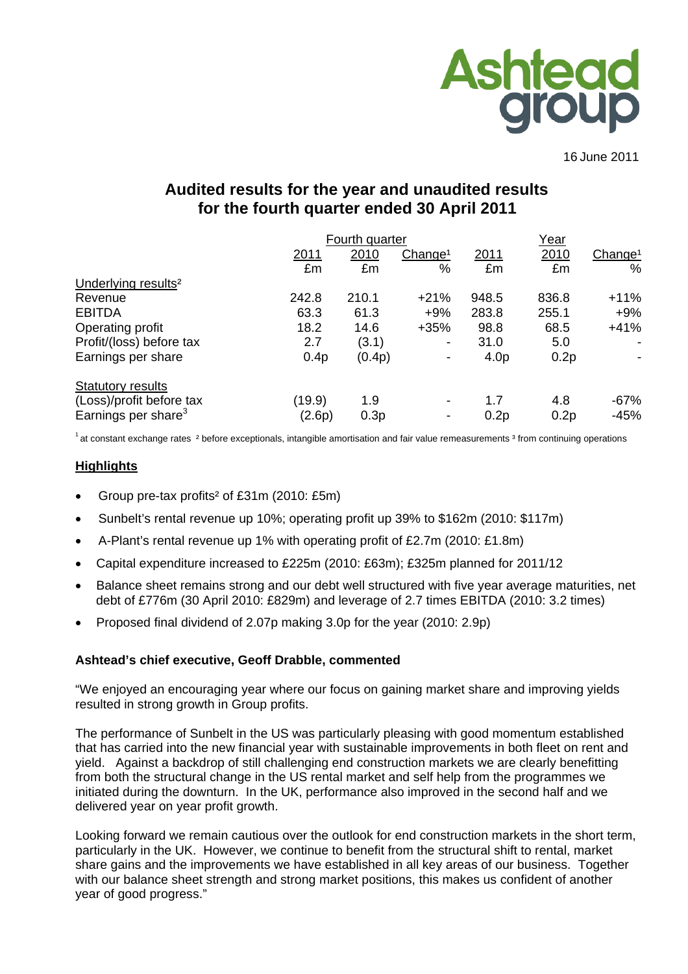

16 June 2011

# **Audited results for the year and unaudited results for the fourth quarter ended 30 April 2011**

|                                 | Fourth quarter |        |                          |                  | Year  |                     |  |
|---------------------------------|----------------|--------|--------------------------|------------------|-------|---------------------|--|
|                                 | <u>2011</u>    | 2010   | Change <sup>1</sup>      | 2011             | 2010  | Change <sup>1</sup> |  |
|                                 | £m             | £m     | %                        | £m               | £m    | $\%$                |  |
| Underlying results <sup>2</sup> |                |        |                          |                  |       |                     |  |
| Revenue                         | 242.8          | 210.1  | $+21%$                   | 948.5            | 836.8 | $+11\%$             |  |
| <b>EBITDA</b>                   | 63.3           | 61.3   | $+9%$                    | 283.8            | 255.1 | $+9%$               |  |
| Operating profit                | 18.2           | 14.6   | $+35%$                   | 98.8             | 68.5  | $+41%$              |  |
| Profit/(loss) before tax        | 2.7            | (3.1)  | $\overline{\phantom{a}}$ | 31.0             | 5.0   |                     |  |
| Earnings per share              | 0.4p           | (0.4p) | -                        | 4.0 <sub>p</sub> | 0.2p  |                     |  |
| <b>Statutory results</b>        |                |        |                          |                  |       |                     |  |
| (Loss)/profit before tax        | (19.9)         | 1.9    |                          | 1.7              | 4.8   | $-67%$              |  |
| Earnings per share <sup>3</sup> | (2.6p)         | 0.3p   |                          | 0.2p             | 0.2p  | $-45%$              |  |

 $1$  at constant exchange rates  $2$  before exceptionals, intangible amortisation and fair value remeasurements  $3$  from continuing operations

### **Highlights**

- Group pre-tax profits² of £31m (2010: £5m)
- Sunbelt's rental revenue up 10%; operating profit up 39% to \$162m (2010: \$117m)
- A-Plant's rental revenue up 1% with operating profit of £2.7m (2010: £1.8m)
- Capital expenditure increased to £225m (2010: £63m); £325m planned for 2011/12
- Balance sheet remains strong and our debt well structured with five year average maturities, net debt of £776m (30 April 2010: £829m) and leverage of 2.7 times EBITDA (2010: 3.2 times)
- Proposed final dividend of 2.07p making 3.0p for the year (2010: 2.9p)

#### **Ashtead's chief executive, Geoff Drabble, commented**

"We enjoyed an encouraging year where our focus on gaining market share and improving yields resulted in strong growth in Group profits.

The performance of Sunbelt in the US was particularly pleasing with good momentum established that has carried into the new financial year with sustainable improvements in both fleet on rent and yield. Against a backdrop of still challenging end construction markets we are clearly benefitting from both the structural change in the US rental market and self help from the programmes we initiated during the downturn. In the UK, performance also improved in the second half and we delivered year on year profit growth.

Looking forward we remain cautious over the outlook for end construction markets in the short term, particularly in the UK. However, we continue to benefit from the structural shift to rental, market share gains and the improvements we have established in all key areas of our business. Together with our balance sheet strength and strong market positions, this makes us confident of another year of good progress."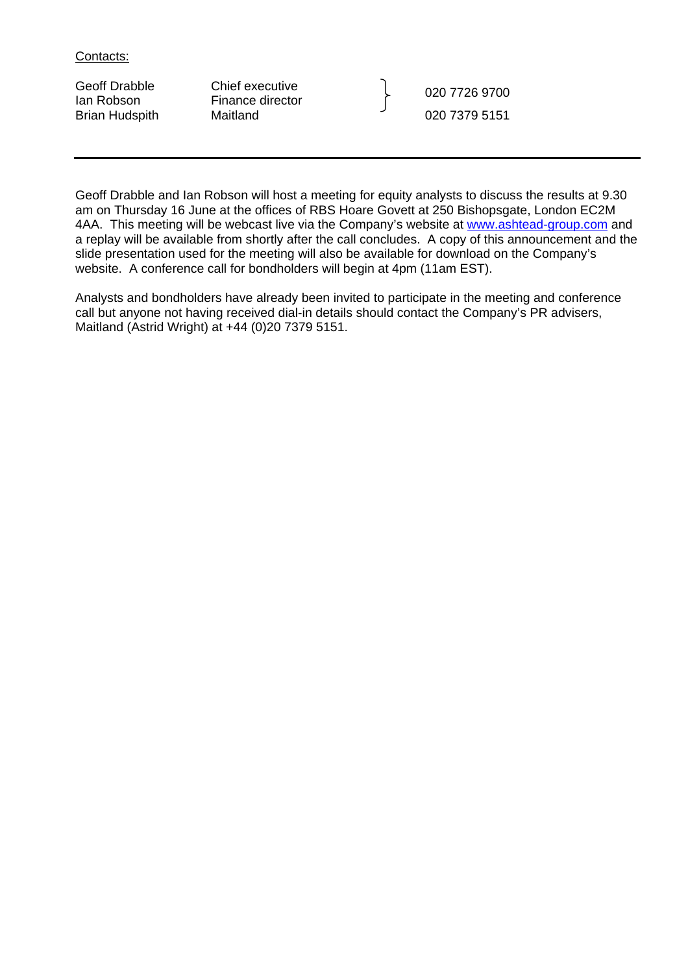Contacts:

Geoff Drabble Chief executive Geoff Drabble Chief executive<br>
Ian Robson Finance director (1990) 020 7726 9700

Brian Hudspith Maitland 1980 120 1379 5151

Geoff Drabble and Ian Robson will host a meeting for equity analysts to discuss the results at 9.30 am on Thursday 16 June at the offices of RBS Hoare Govett at 250 Bishopsgate, London EC2M 4AA. This meeting will be webcast live via the Company's website at [www.ashtead-group.com](http://www.ashtead-group.com/) and a replay will be available from shortly after the call concludes. A copy of this announcement and the slide presentation used for the meeting will also be available for download on the Company's website. A conference call for bondholders will begin at 4pm (11am EST).

Analysts and bondholders have already been invited to participate in the meeting and conference call but anyone not having received dial-in details should contact the Company's PR advisers, Maitland (Astrid Wright) at +44 (0)20 7379 5151.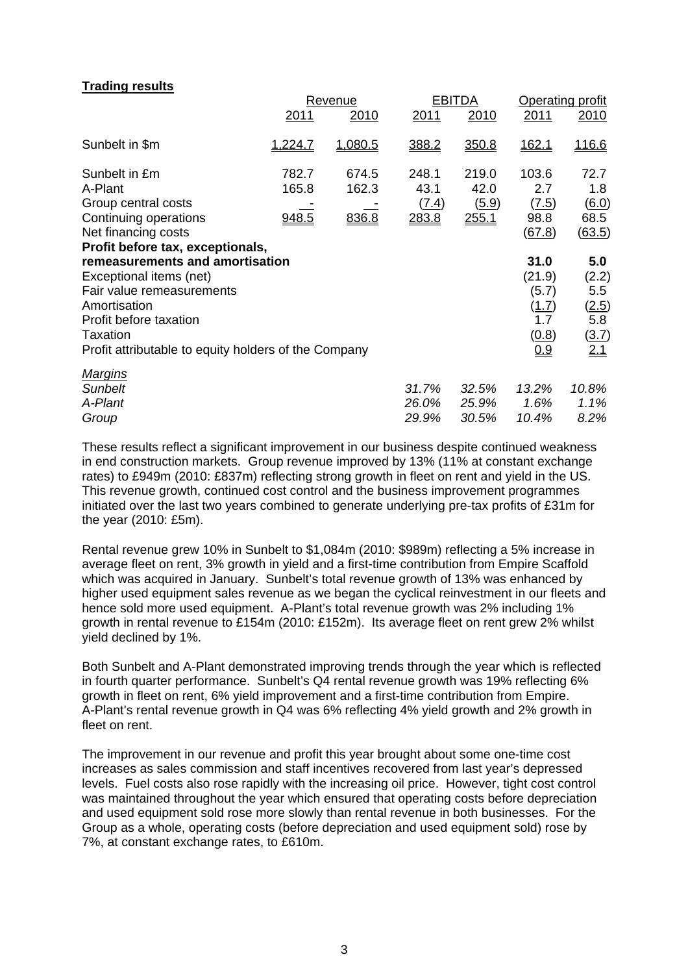### **Trading results**

|                                                                                                                                                                                                                                                  |                         | Revenue                 |                                 | <b>EBITDA</b>                          | Operating profit                                                 |                                                     |  |
|--------------------------------------------------------------------------------------------------------------------------------------------------------------------------------------------------------------------------------------------------|-------------------------|-------------------------|---------------------------------|----------------------------------------|------------------------------------------------------------------|-----------------------------------------------------|--|
|                                                                                                                                                                                                                                                  | <u>2011</u>             | 2010                    | <u> 2011</u>                    | 2010                                   | 2011                                                             | <u> 2010</u>                                        |  |
| Sunbelt in \$m                                                                                                                                                                                                                                   | 1,224.7                 | 1,080.5                 | 388.2                           | 350.8                                  | <u>162.1</u>                                                     | <u>116.6</u>                                        |  |
| Sunbelt in £m<br>A-Plant<br>Group central costs<br>Continuing operations<br>Net financing costs                                                                                                                                                  | 782.7<br>165.8<br>948.5 | 674.5<br>162.3<br>836.8 | 248.1<br>43.1<br>(7.4)<br>283.8 | 219.0<br>42.0<br>(5.9)<br><u>255.1</u> | 103.6<br>2.7<br>(7.5)<br>98.8<br>(67.8)                          | 72.7<br>1.8<br>6.0<br>68.5<br>(63.5)                |  |
| Profit before tax, exceptionals,<br>remeasurements and amortisation<br>Exceptional items (net)<br>Fair value remeasurements<br>Amortisation<br>Profit before taxation<br><b>Taxation</b><br>Profit attributable to equity holders of the Company |                         |                         |                                 |                                        | 31.0<br>(21.9)<br>(5.7)<br>( <u>1.7</u> )<br>1.7<br>(0.8)<br>0.9 | 5.0<br>(2.2)<br>5.5<br>(2.5)<br>5.8<br>(3.7)<br>2.1 |  |
| <u>Marqins</u><br><b>Sunbelt</b><br>A-Plant<br>Group                                                                                                                                                                                             |                         |                         | 31.7%<br>26.0%<br>29.9%         | 32.5%<br>25.9%<br>30.5%                | 13.2%<br>1.6%<br>10.4%                                           | 10.8%<br>1.1%<br>8.2%                               |  |

These results reflect a significant improvement in our business despite continued weakness in end construction markets. Group revenue improved by 13% (11% at constant exchange rates) to £949m (2010: £837m) reflecting strong growth in fleet on rent and yield in the US. This revenue growth, continued cost control and the business improvement programmes initiated over the last two years combined to generate underlying pre-tax profits of £31m for the year (2010: £5m).

Rental revenue grew 10% in Sunbelt to \$1,084m (2010: \$989m) reflecting a 5% increase in average fleet on rent, 3% growth in yield and a first-time contribution from Empire Scaffold which was acquired in January. Sunbelt's total revenue growth of 13% was enhanced by higher used equipment sales revenue as we began the cyclical reinvestment in our fleets and hence sold more used equipment. A-Plant's total revenue growth was 2% including 1% growth in rental revenue to £154m (2010: £152m). Its average fleet on rent grew 2% whilst yield declined by 1%.

Both Sunbelt and A-Plant demonstrated improving trends through the year which is reflected in fourth quarter performance. Sunbelt's Q4 rental revenue growth was 19% reflecting 6% growth in fleet on rent, 6% yield improvement and a first-time contribution from Empire. A-Plant's rental revenue growth in Q4 was 6% reflecting 4% yield growth and 2% growth in fleet on rent.

The improvement in our revenue and profit this year brought about some one-time cost increases as sales commission and staff incentives recovered from last year's depressed levels. Fuel costs also rose rapidly with the increasing oil price. However, tight cost control was maintained throughout the year which ensured that operating costs before depreciation and used equipment sold rose more slowly than rental revenue in both businesses. For the Group as a whole, operating costs (before depreciation and used equipment sold) rose by 7%, at constant exchange rates, to £610m.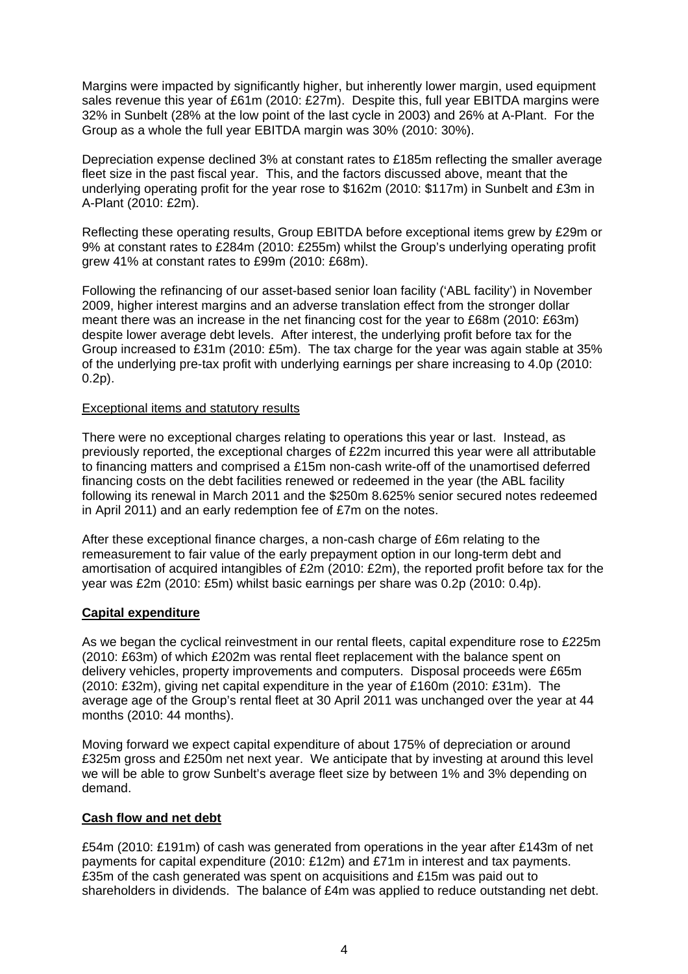Margins were impacted by significantly higher, but inherently lower margin, used equipment sales revenue this year of £61m (2010: £27m). Despite this, full year EBITDA margins were 32% in Sunbelt (28% at the low point of the last cycle in 2003) and 26% at A-Plant. For the Group as a whole the full year EBITDA margin was 30% (2010: 30%).

Depreciation expense declined 3% at constant rates to £185m reflecting the smaller average fleet size in the past fiscal year. This, and the factors discussed above, meant that the underlying operating profit for the year rose to \$162m (2010: \$117m) in Sunbelt and £3m in A-Plant (2010: £2m).

Reflecting these operating results, Group EBITDA before exceptional items grew by £29m or 9% at constant rates to £284m (2010: £255m) whilst the Group's underlying operating profit grew 41% at constant rates to £99m (2010: £68m).

Following the refinancing of our asset-based senior loan facility ('ABL facility') in November 2009, higher interest margins and an adverse translation effect from the stronger dollar meant there was an increase in the net financing cost for the year to £68m (2010: £63m) despite lower average debt levels. After interest, the underlying profit before tax for the Group increased to £31m (2010: £5m). The tax charge for the year was again stable at 35% of the underlying pre-tax profit with underlying earnings per share increasing to 4.0p (2010: 0.2p).

### Exceptional items and statutory results

There were no exceptional charges relating to operations this year or last. Instead, as previously reported, the exceptional charges of £22m incurred this year were all attributable to financing matters and comprised a £15m non-cash write-off of the unamortised deferred financing costs on the debt facilities renewed or redeemed in the year (the ABL facility following its renewal in March 2011 and the \$250m 8.625% senior secured notes redeemed in April 2011) and an early redemption fee of £7m on the notes.

After these exceptional finance charges, a non-cash charge of £6m relating to the remeasurement to fair value of the early prepayment option in our long-term debt and amortisation of acquired intangibles of £2m (2010: £2m), the reported profit before tax for the year was £2m (2010: £5m) whilst basic earnings per share was 0.2p (2010: 0.4p).

### **Capital expenditure**

As we began the cyclical reinvestment in our rental fleets, capital expenditure rose to £225m (2010: £63m) of which £202m was rental fleet replacement with the balance spent on delivery vehicles, property improvements and computers. Disposal proceeds were £65m (2010: £32m), giving net capital expenditure in the year of £160m (2010: £31m). The average age of the Group's rental fleet at 30 April 2011 was unchanged over the year at 44 months (2010: 44 months).

Moving forward we expect capital expenditure of about 175% of depreciation or around £325m gross and £250m net next year. We anticipate that by investing at around this level we will be able to grow Sunbelt's average fleet size by between 1% and 3% depending on demand.

### **Cash flow and net debt**

£54m (2010: £191m) of cash was generated from operations in the year after £143m of net payments for capital expenditure (2010: £12m) and £71m in interest and tax payments. £35m of the cash generated was spent on acquisitions and £15m was paid out to shareholders in dividends. The balance of £4m was applied to reduce outstanding net debt.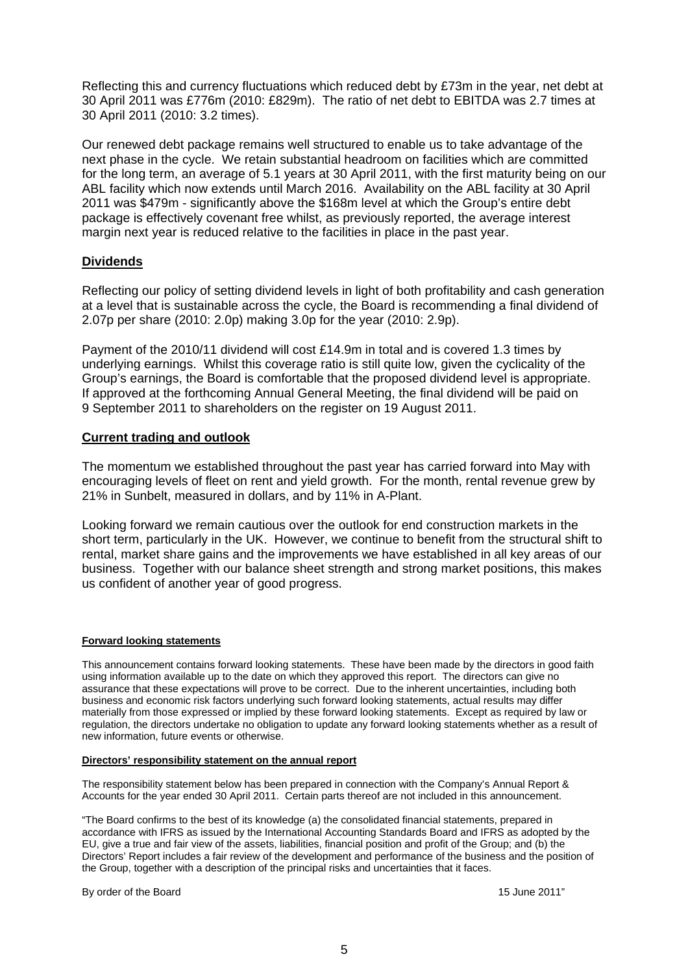Reflecting this and currency fluctuations which reduced debt by £73m in the year, net debt at 30 April 2011 was £776m (2010: £829m). The ratio of net debt to EBITDA was 2.7 times at 30 April 2011 (2010: 3.2 times).

Our renewed debt package remains well structured to enable us to take advantage of the next phase in the cycle. We retain substantial headroom on facilities which are committed for the long term, an average of 5.1 years at 30 April 2011, with the first maturity being on our ABL facility which now extends until March 2016. Availability on the ABL facility at 30 April 2011 was \$479m - significantly above the \$168m level at which the Group's entire debt package is effectively covenant free whilst, as previously reported, the average interest margin next year is reduced relative to the facilities in place in the past year.

### **Dividends**

Reflecting our policy of setting dividend levels in light of both profitability and cash generation at a level that is sustainable across the cycle, the Board is recommending a final dividend of 2.07p per share (2010: 2.0p) making 3.0p for the year (2010: 2.9p).

Payment of the 2010/11 dividend will cost £14.9m in total and is covered 1.3 times by underlying earnings. Whilst this coverage ratio is still quite low, given the cyclicality of the Group's earnings, the Board is comfortable that the proposed dividend level is appropriate. If approved at the forthcoming Annual General Meeting, the final dividend will be paid on 9 September 2011 to shareholders on the register on 19 August 2011.

### **Current trading and outlook**

The momentum we established throughout the past year has carried forward into May with encouraging levels of fleet on rent and yield growth. For the month, rental revenue grew by 21% in Sunbelt, measured in dollars, and by 11% in A-Plant.

Looking forward we remain cautious over the outlook for end construction markets in the short term, particularly in the UK. However, we continue to benefit from the structural shift to rental, market share gains and the improvements we have established in all key areas of our business. Together with our balance sheet strength and strong market positions, this makes us confident of another year of good progress.

#### **Forward looking statements**

This announcement contains forward looking statements. These have been made by the directors in good faith using information available up to the date on which they approved this report. The directors can give no assurance that these expectations will prove to be correct. Due to the inherent uncertainties, including both business and economic risk factors underlying such forward looking statements, actual results may differ materially from those expressed or implied by these forward looking statements. Except as required by law or regulation, the directors undertake no obligation to update any forward looking statements whether as a result of new information, future events or otherwise.

#### **Directors' responsibility statement on the annual report**

The responsibility statement below has been prepared in connection with the Company's Annual Report & Accounts for the year ended 30 April 2011. Certain parts thereof are not included in this announcement.

"The Board confirms to the best of its knowledge (a) the consolidated financial statements, prepared in accordance with IFRS as issued by the International Accounting Standards Board and IFRS as adopted by the EU, give a true and fair view of the assets, liabilities, financial position and profit of the Group; and (b) the Directors' Report includes a fair review of the development and performance of the business and the position of the Group, together with a description of the principal risks and uncertainties that it faces.

By order of the Board 15 June 2011"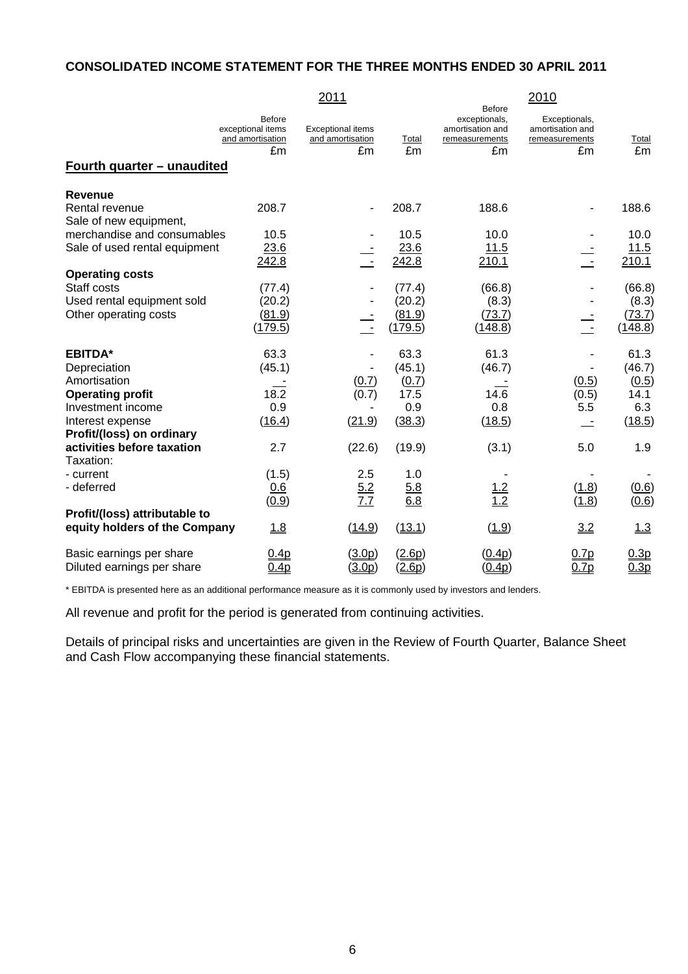# **CONSOLIDATED INCOME STATEMENT FOR THE THREE MONTHS ENDED 30 APRIL 2011**

|                                                                    |                                                              | 2011                                               |                                       |                                                                            | 2010                                                      |                                      |
|--------------------------------------------------------------------|--------------------------------------------------------------|----------------------------------------------------|---------------------------------------|----------------------------------------------------------------------------|-----------------------------------------------------------|--------------------------------------|
|                                                                    | <b>Before</b><br>exceptional items<br>and amortisation<br>£m | <b>Exceptional items</b><br>and amortisation<br>£m | Total<br>£m                           | <b>Before</b><br>exceptionals,<br>amortisation and<br>remeasurements<br>£m | Exceptionals,<br>amortisation and<br>remeasurements<br>£m | Total<br>£m                          |
| Fourth quarter - unaudited                                         |                                                              |                                                    |                                       |                                                                            |                                                           |                                      |
| <b>Revenue</b>                                                     |                                                              |                                                    |                                       |                                                                            |                                                           |                                      |
| Rental revenue<br>Sale of new equipment,                           | 208.7                                                        |                                                    | 208.7                                 | 188.6                                                                      |                                                           | 188.6                                |
| merchandise and consumables<br>Sale of used rental equipment       | 10.5<br>23.6<br>242.8                                        |                                                    | 10.5<br>23.6<br>242.8                 | 10.0<br>11.5<br>210.1                                                      |                                                           | 10.0<br>11.5<br>210.1                |
| <b>Operating costs</b>                                             |                                                              |                                                    |                                       |                                                                            |                                                           |                                      |
| Staff costs<br>Used rental equipment sold<br>Other operating costs | (77.4)<br>(20.2)<br>(81.9)<br>(179.5)                        | $\sim$                                             | (77.4)<br>(20.2)<br>(81.9)<br>(179.5) | (66.8)<br>(8.3)<br>(73.7)<br>(148.8)                                       | G.                                                        | (66.8)<br>(8.3)<br>(73.7)<br>(148.8) |
| <b>EBITDA*</b>                                                     | 63.3                                                         |                                                    | 63.3                                  | 61.3                                                                       |                                                           | 61.3                                 |
| Depreciation<br>Amortisation                                       | (45.1)                                                       | (0.7)                                              | (45.1)<br>(0.7)                       | (46.7)                                                                     | (0.5)                                                     | (46.7)<br>(0.5)                      |
| <b>Operating profit</b><br>Investment income                       | 18.2<br>0.9                                                  | (0.7)                                              | 17.5<br>0.9                           | 14.6<br>0.8                                                                | (0.5)<br>5.5                                              | 14.1<br>6.3                          |
| Interest expense<br>Profit/(loss) on ordinary                      | (16.4)                                                       | (21.9)                                             | (38.3)                                | (18.5)                                                                     |                                                           | (18.5)                               |
| activities before taxation<br>Taxation:                            | 2.7                                                          | (22.6)                                             | (19.9)                                | (3.1)                                                                      | 5.0                                                       | 1.9                                  |
| - current<br>- deferred                                            | (1.5)<br>0.6<br>(0.9)                                        | 2.5<br>5.2<br>7.7                                  | 1.0<br>5.8<br>6.8                     | $\frac{1.2}{1.2}$                                                          | (1.8)<br>(1.8)                                            | (0.6)<br>(0.6)                       |
| Profit/(loss) attributable to<br>equity holders of the Company     | 1.8                                                          | (14.9)                                             | (13.1)                                | (1.9)                                                                      | 3.2                                                       | 1.3                                  |
| Basic earnings per share<br>Diluted earnings per share             | 0.4 <sub>p</sub><br>0.4 <sub>p</sub>                         | (3.0p)<br>(3.0p)                                   | (2.6p)<br>(2.6p)                      | (0.4p)<br>(0.4p)                                                           | 0.7 <sub>p</sub><br>0.7p                                  | 0.3p<br>0.3p                         |

\* EBITDA is presented here as an additional performance measure as it is commonly used by investors and lenders.

All revenue and profit for the period is generated from continuing activities.

Details of principal risks and uncertainties are given in the Review of Fourth Quarter, Balance Sheet and Cash Flow accompanying these financial statements.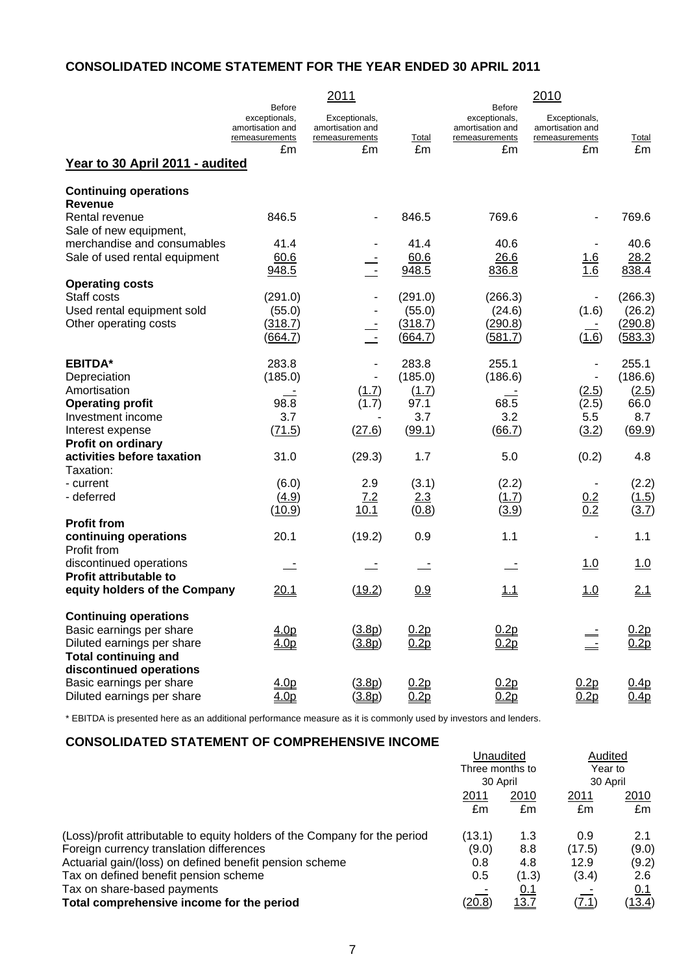# **CONSOLIDATED INCOME STATEMENT FOR THE YEAR ENDED 30 APRIL 2011**

|                                         |                                                                      | 2011                                                |         |                                                                      | 2010                                                |            |
|-----------------------------------------|----------------------------------------------------------------------|-----------------------------------------------------|---------|----------------------------------------------------------------------|-----------------------------------------------------|------------|
|                                         | <b>Before</b><br>exceptionals,<br>amortisation and<br>remeasurements | Exceptionals,<br>amortisation and<br>remeasurements | Total   | <b>Before</b><br>exceptionals,<br>amortisation and<br>remeasurements | Exceptionals,<br>amortisation and<br>remeasurements | Total      |
| Year to 30 April 2011 - audited         | £m                                                                   | £m                                                  | £m      | £m                                                                   | £m                                                  | £m         |
| <b>Continuing operations</b>            |                                                                      |                                                     |         |                                                                      |                                                     |            |
| <b>Revenue</b>                          |                                                                      |                                                     |         |                                                                      |                                                     |            |
| Rental revenue                          | 846.5                                                                |                                                     | 846.5   | 769.6                                                                |                                                     | 769.6      |
| Sale of new equipment,                  |                                                                      |                                                     |         |                                                                      |                                                     |            |
| merchandise and consumables             | 41.4                                                                 |                                                     | 41.4    | 40.6                                                                 |                                                     | 40.6       |
| Sale of used rental equipment           | 60.6                                                                 |                                                     | 60.6    | 26.6                                                                 | <u> 1.6</u>                                         | 28.2       |
|                                         | 948.5                                                                | $\overline{\phantom{a}}$                            | 948.5   | 836.8                                                                | 1.6                                                 | 838.4      |
| <b>Operating costs</b>                  |                                                                      |                                                     |         |                                                                      |                                                     |            |
| Staff costs                             | (291.0)                                                              |                                                     | (291.0) | (266.3)                                                              |                                                     | (266.3)    |
| Used rental equipment sold              | (55.0)                                                               |                                                     | (55.0)  | (24.6)                                                               | (1.6)                                               | (26.2)     |
| Other operating costs                   | (318.7)                                                              |                                                     | (318.7) | (290.8)                                                              |                                                     | (290.8)    |
|                                         | (664.7)                                                              | $\overline{\phantom{a}}$                            | (664.7) | (581.7)                                                              | (1.6)                                               | (583.3)    |
| <b>EBITDA*</b>                          | 283.8                                                                |                                                     | 283.8   | 255.1                                                                | $\overline{\phantom{a}}$                            | 255.1      |
| Depreciation                            | (185.0)                                                              |                                                     | (185.0) | (186.6)                                                              |                                                     | (186.6)    |
| Amortisation                            |                                                                      | (1.7)                                               | (1.7)   |                                                                      | (2.5)                                               | (2.5)      |
| <b>Operating profit</b>                 | 98.8                                                                 | (1.7)                                               | 97.1    | 68.5                                                                 | (2.5)                                               | 66.0       |
| Investment income                       | 3.7                                                                  |                                                     | 3.7     | 3.2                                                                  | 5.5                                                 | 8.7        |
| Interest expense                        | (71.5)                                                               | (27.6)                                              | (99.1)  | (66.7)                                                               | (3.2)                                               | (69.9)     |
| Profit on ordinary                      |                                                                      |                                                     |         |                                                                      |                                                     |            |
| activities before taxation<br>Taxation: | 31.0                                                                 | (29.3)                                              | 1.7     | 5.0                                                                  | (0.2)                                               | 4.8        |
| - current                               | (6.0)                                                                | 2.9                                                 | (3.1)   | (2.2)                                                                |                                                     | (2.2)      |
| - deferred                              | (4.9)                                                                | 7.2                                                 | 2.3     | (1.7)                                                                | 0.2                                                 | (1.5)      |
|                                         | (10.9)                                                               | 10.1                                                | (0.8)   | (3.9)                                                                | 0.2                                                 | (3.7)      |
| <b>Profit from</b>                      |                                                                      |                                                     |         |                                                                      |                                                     |            |
| continuing operations<br>Profit from    | 20.1                                                                 | (19.2)                                              | 0.9     | 1.1                                                                  | $\overline{\phantom{a}}$                            | 1.1        |
| discontinued operations                 |                                                                      |                                                     |         |                                                                      | 1.0                                                 | <u>1.0</u> |
| <b>Profit attributable to</b>           |                                                                      |                                                     |         |                                                                      |                                                     |            |
| equity holders of the Company           | 20.1                                                                 | (19.2)                                              | 0.9     | <u>1.1</u>                                                           | <u>1.0</u>                                          | 2.1        |
| <b>Continuing operations</b>            |                                                                      |                                                     |         |                                                                      |                                                     |            |
| Basic earnings per share                | 4.0 <sub>p</sub>                                                     | (3.8p)                                              | 0.2p    | 0.2p                                                                 |                                                     | 0.2p       |
| Diluted earnings per share              | 4.0 <sub>p</sub>                                                     | (3.8p)                                              | 0.2p    | 0.2p                                                                 |                                                     | 0.2p       |
| <b>Total continuing and</b>             |                                                                      |                                                     |         |                                                                      |                                                     |            |
| discontinued operations                 |                                                                      |                                                     |         |                                                                      |                                                     |            |
| Basic earnings per share                | 4.0 <sub>p</sub>                                                     | (3.8p)                                              | 0.2p    | 0.2p                                                                 | 0.2p                                                | 0.4p       |
| Diluted earnings per share              | 4.0p                                                                 | (3.8p)                                              | 0.2p    | 0.2p                                                                 | 0.2p                                                | 0.4p       |

\* EBITDA is presented here as an additional performance measure as it is commonly used by investors and lenders.

### **CONSOLIDATED STATEMENT OF COMPREHENSIVE INCOME**

|                                                                            | Unaudited<br>Three months to<br>30 April |            | Audited  |               |
|----------------------------------------------------------------------------|------------------------------------------|------------|----------|---------------|
|                                                                            |                                          |            | Year to  |               |
|                                                                            |                                          |            | 30 April |               |
|                                                                            | 2011                                     | 2010       | 2011     | 2010          |
|                                                                            | £m                                       | £m         | £m       | £m            |
| (Loss)/profit attributable to equity holders of the Company for the period | (13.1)                                   | 1.3        | 0.9      | 2.1           |
| Foreign currency translation differences                                   | (9.0)                                    | 8.8        | (17.5)   | (9.0)         |
| Actuarial gain/(loss) on defined benefit pension scheme                    | 0.8                                      | 4.8        | 12.9     | (9.2)         |
| Tax on defined benefit pension scheme                                      | 0.5                                      | (1.3)      | (3.4)    | 2.6           |
| Tax on share-based payments                                                |                                          | <u>0.1</u> |          | 0.1           |
| Total comprehensive income for the period                                  | (20.8)                                   | 13.7       | (7.1)    | <u>(13.4)</u> |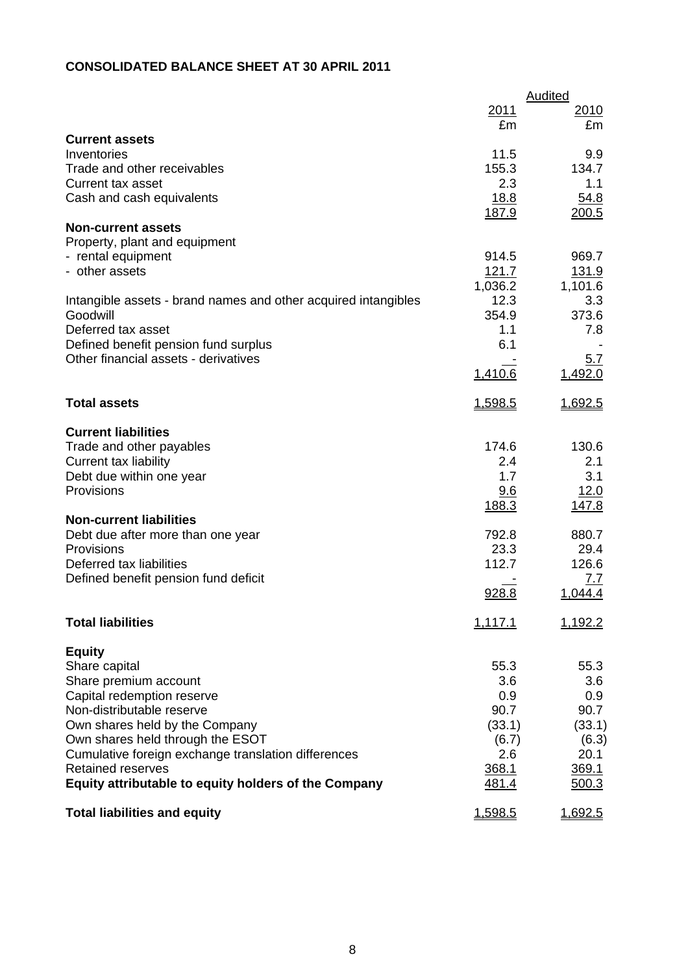# **CONSOLIDATED BALANCE SHEET AT 30 APRIL 2011**

|                                                                |               | Audited      |
|----------------------------------------------------------------|---------------|--------------|
|                                                                | 2011          | 2010         |
|                                                                | £m            | £m           |
| <b>Current assets</b>                                          |               |              |
| Inventories<br>Trade and other receivables                     | 11.5<br>155.3 | 9.9          |
| <b>Current tax asset</b>                                       | 2.3           | 134.7<br>1.1 |
|                                                                | 18.8          | 54.8         |
| Cash and cash equivalents                                      | 187.9         | 200.5        |
| <b>Non-current assets</b>                                      |               |              |
| Property, plant and equipment                                  |               |              |
| - rental equipment                                             | 914.5         | 969.7        |
| - other assets                                                 | 121.7         | 131.9        |
|                                                                | 1,036.2       | 1,101.6      |
| Intangible assets - brand names and other acquired intangibles | 12.3          | 3.3          |
| Goodwill                                                       | 354.9         | 373.6        |
| Deferred tax asset                                             | 1.1           | 7.8          |
| Defined benefit pension fund surplus                           | 6.1           |              |
| Other financial assets - derivatives                           |               | <u>5.7</u>   |
|                                                                | 1,410.6       | 1,492.0      |
| <b>Total assets</b>                                            | 1,598.5       | 1,692.5      |
| <b>Current liabilities</b>                                     |               |              |
| Trade and other payables                                       | 174.6         | 130.6        |
| <b>Current tax liability</b>                                   | 2.4           | 2.1          |
| Debt due within one year                                       | 1.7           | 3.1          |
| Provisions                                                     | 9.6           | 12.0         |
|                                                                | 188.3         | <u>147.8</u> |
| <b>Non-current liabilities</b>                                 |               |              |
| Debt due after more than one year                              | 792.8         | 880.7        |
| Provisions                                                     | 23.3          | 29.4         |
| Deferred tax liabilities                                       | 112.7         | 126.6        |
| Defined benefit pension fund deficit                           |               | 7.7          |
|                                                                | 928.8         | 1,044.4      |
| <b>Total liabilities</b>                                       | 1,117.1       | 1,192.2      |
| <b>Equity</b>                                                  |               |              |
| Share capital                                                  | 55.3          | 55.3         |
| Share premium account                                          | 3.6           | 3.6          |
| Capital redemption reserve                                     | 0.9           | 0.9          |
| Non-distributable reserve                                      | 90.7          | 90.7         |
| Own shares held by the Company                                 | (33.1)        | (33.1)       |
| Own shares held through the ESOT                               | (6.7)         | (6.3)        |
| Cumulative foreign exchange translation differences            | 2.6           | 20.1         |
| <b>Retained reserves</b>                                       | 368.1         | 369.1        |
| Equity attributable to equity holders of the Company           | 481.4         | 500.3        |
| <b>Total liabilities and equity</b>                            | 1,598.5       | 1,692.5      |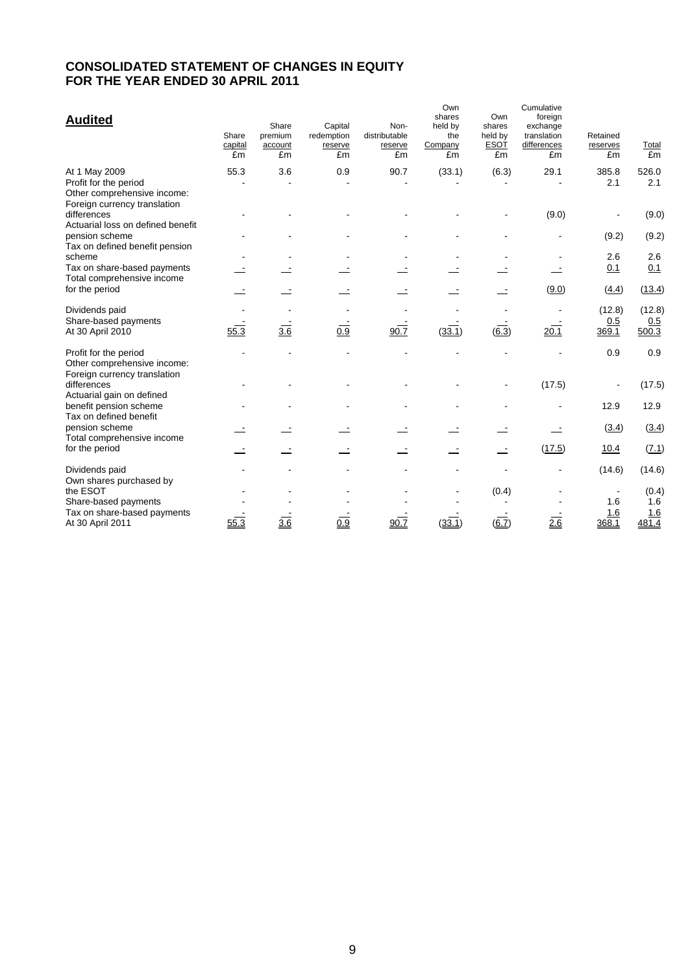# **CONSOLIDATED STATEMENT OF CHANGES IN EQUITY FOR THE YEAR ENDED 30 APRIL 2011**

| <b>Audited</b>                                                                                        | Share<br>capital<br>£m | Share<br>premium<br>account<br>£m | Capital<br>redemption<br>reserve<br>£m | Non-<br>distributable<br>reserve<br>£m | Own<br>shares<br>held by<br>the<br>Company<br>£m | Own<br>shares<br>held by<br><b>ESOT</b><br>£m | Cumulative<br>foreign<br>exchange<br>translation<br>differences<br>£m | Retained<br>reserves<br>£m | Total<br>£m            |
|-------------------------------------------------------------------------------------------------------|------------------------|-----------------------------------|----------------------------------------|----------------------------------------|--------------------------------------------------|-----------------------------------------------|-----------------------------------------------------------------------|----------------------------|------------------------|
| At 1 May 2009<br>Profit for the period<br>Other comprehensive income:<br>Foreign currency translation | 55.3                   | 3.6                               | 0.9                                    | 90.7                                   | (33.1)                                           | (6.3)                                         | 29.1                                                                  | 385.8<br>2.1               | 526.0<br>2.1           |
| differences<br>Actuarial loss on defined benefit                                                      |                        |                                   |                                        |                                        |                                                  |                                               | (9.0)                                                                 |                            | (9.0)                  |
| pension scheme<br>Tax on defined benefit pension                                                      |                        |                                   |                                        |                                        |                                                  |                                               |                                                                       | (9.2)                      | (9.2)                  |
| scheme                                                                                                |                        |                                   |                                        |                                        |                                                  |                                               |                                                                       | 2.6                        | 2.6                    |
| Tax on share-based payments<br>Total comprehensive income                                             |                        |                                   |                                        |                                        |                                                  |                                               |                                                                       | 0.1                        | 0.1                    |
| for the period                                                                                        |                        |                                   |                                        |                                        |                                                  |                                               | (9.0)                                                                 | (4.4)                      | (13.4)                 |
| Dividends paid<br>Share-based payments<br>At 30 April 2010                                            | 55.3                   | $\overline{3.6}$                  | 0.9                                    | 90.7                                   | (33.1)                                           | $\overline{(6.3)}$                            | 20.1                                                                  | (12.8)<br>0.5<br>369.1     | (12.8)<br>0.5<br>500.3 |
| Profit for the period<br>Other comprehensive income:<br>Foreign currency translation                  |                        |                                   |                                        |                                        |                                                  |                                               |                                                                       | 0.9                        | 0.9                    |
| differences<br>Actuarial gain on defined                                                              |                        |                                   |                                        |                                        |                                                  |                                               | (17.5)                                                                |                            | (17.5)                 |
| benefit pension scheme<br>Tax on defined benefit                                                      |                        |                                   |                                        |                                        |                                                  |                                               |                                                                       | 12.9                       | 12.9                   |
| pension scheme<br>Total comprehensive income                                                          |                        |                                   |                                        |                                        |                                                  |                                               |                                                                       | (3.4)                      | (3.4)                  |
| for the period                                                                                        |                        |                                   |                                        |                                        |                                                  |                                               | (17.5)                                                                | 10.4                       | (7.1)                  |
| Dividends paid<br>Own shares purchased by                                                             |                        |                                   |                                        |                                        |                                                  |                                               |                                                                       | (14.6)                     | (14.6)                 |
| the ESOT                                                                                              |                        |                                   |                                        |                                        |                                                  | (0.4)                                         |                                                                       |                            | (0.4)                  |
| Share-based payments<br>Tax on share-based payments                                                   |                        |                                   |                                        |                                        |                                                  |                                               |                                                                       | 1.6<br>1.6                 | 1.6<br>1.6             |
| At 30 April 2011                                                                                      | 55.3                   | 3.6                               | 0.9                                    | 90.7                                   | (33.1)                                           | (6.7)                                         | 2.6                                                                   | 368.1                      | 481.4                  |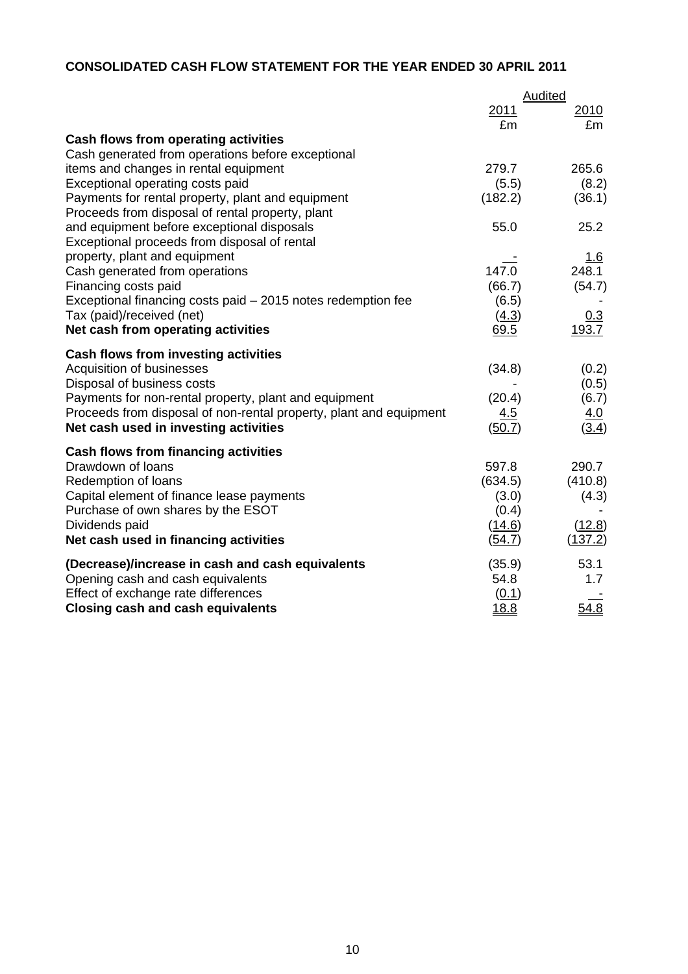# **CONSOLIDATED CASH FLOW STATEMENT FOR THE YEAR ENDED 30 APRIL 2011**

|                                                                           |              | <b>Audited</b>  |
|---------------------------------------------------------------------------|--------------|-----------------|
|                                                                           | 2011         | 2010            |
|                                                                           | £m           | £m              |
| <b>Cash flows from operating activities</b>                               |              |                 |
| Cash generated from operations before exceptional                         | 279.7        | 265.6           |
| items and changes in rental equipment<br>Exceptional operating costs paid | (5.5)        |                 |
| Payments for rental property, plant and equipment                         | (182.2)      | (8.2)<br>(36.1) |
| Proceeds from disposal of rental property, plant                          |              |                 |
| and equipment before exceptional disposals                                | 55.0         | 25.2            |
| Exceptional proceeds from disposal of rental                              |              |                 |
| property, plant and equipment                                             |              | <u> 1.6</u>     |
| Cash generated from operations                                            | 147.0        | 248.1           |
| Financing costs paid                                                      | (66.7)       | (54.7)          |
| Exceptional financing costs paid - 2015 notes redemption fee              | (6.5)        |                 |
| Tax (paid)/received (net)                                                 | (4.3)        | <u>0.3</u>      |
| Net cash from operating activities                                        | 69.5         | 193.7           |
| Cash flows from investing activities                                      |              |                 |
| Acquisition of businesses                                                 | (34.8)       | (0.2)           |
| Disposal of business costs                                                |              | (0.5)           |
| Payments for non-rental property, plant and equipment                     | (20.4)       | (6.7)           |
| Proceeds from disposal of non-rental property, plant and equipment        | 4.5          | <u>4.0</u>      |
| Net cash used in investing activities                                     | (50.7)       | (3.4)           |
| Cash flows from financing activities                                      |              |                 |
| Drawdown of loans                                                         | 597.8        | 290.7           |
| Redemption of loans                                                       | (634.5)      | (410.8)         |
| Capital element of finance lease payments                                 | (3.0)        | (4.3)           |
| Purchase of own shares by the ESOT                                        | (0.4)        |                 |
| Dividends paid                                                            | (14.6)       | (12.8)          |
| Net cash used in financing activities                                     | (54.7)       | (137.2)         |
| (Decrease)/increase in cash and cash equivalents                          | (35.9)       | 53.1            |
| Opening cash and cash equivalents                                         | 54.8         | 1.7             |
| Effect of exchange rate differences                                       | (0.1)        |                 |
| <b>Closing cash and cash equivalents</b>                                  | <u> 18.8</u> | 54.8            |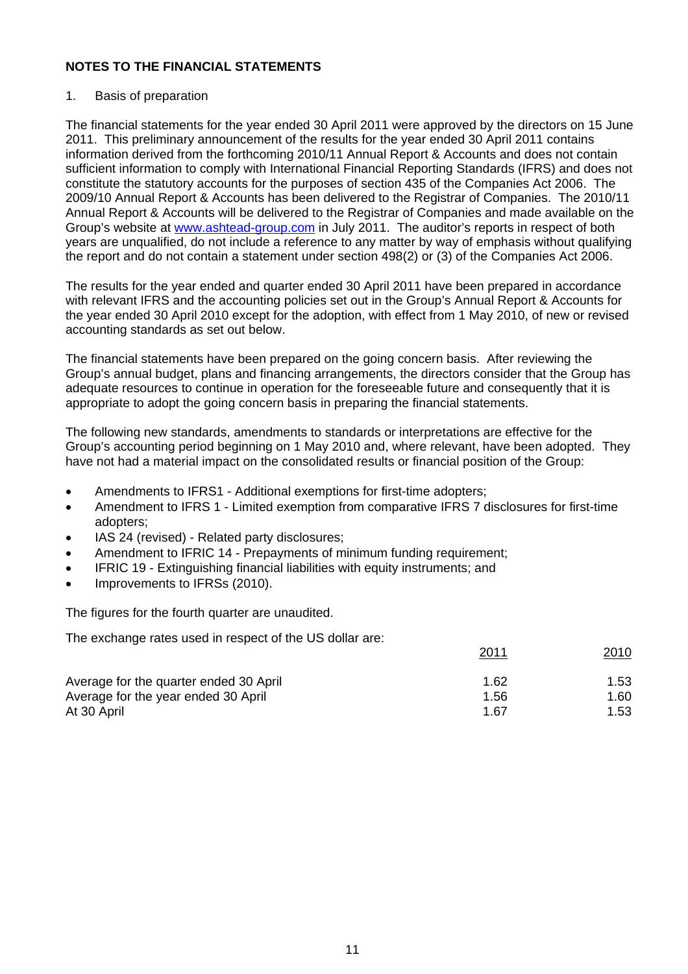# 1. Basis of preparation

The financial statements for the year ended 30 April 2011 were approved by the directors on 15 June 2011. This preliminary announcement of the results for the year ended 30 April 2011 contains information derived from the forthcoming 2010/11 Annual Report & Accounts and does not contain sufficient information to comply with International Financial Reporting Standards (IFRS) and does not constitute the statutory accounts for the purposes of section 435 of the Companies Act 2006. The 2009/10 Annual Report & Accounts has been delivered to the Registrar of Companies. The 2010/11 Annual Report & Accounts will be delivered to the Registrar of Companies and made available on the Group's website at [www.ashtead-group.com](http://www.ashtead-group.com/) in July 2011. The auditor's reports in respect of both years are unqualified, do not include a reference to any matter by way of emphasis without qualifying the report and do not contain a statement under section 498(2) or (3) of the Companies Act 2006.

The results for the year ended and quarter ended 30 April 2011 have been prepared in accordance with relevant IFRS and the accounting policies set out in the Group's Annual Report & Accounts for the year ended 30 April 2010 except for the adoption, with effect from 1 May 2010, of new or revised accounting standards as set out below.

The financial statements have been prepared on the going concern basis. After reviewing the Group's annual budget, plans and financing arrangements, the directors consider that the Group has adequate resources to continue in operation for the foreseeable future and consequently that it is appropriate to adopt the going concern basis in preparing the financial statements.

The following new standards, amendments to standards or interpretations are effective for the Group's accounting period beginning on 1 May 2010 and, where relevant, have been adopted. They have not had a material impact on the consolidated results or financial position of the Group:

- Amendments to IFRS1 Additional exemptions for first-time adopters;
- Amendment to IFRS 1 Limited exemption from comparative IFRS 7 disclosures for first-time adopters;
- IAS 24 (revised) Related party disclosures;
- Amendment to IFRIC 14 Prepayments of minimum funding requirement;
- IFRIC 19 Extinguishing financial liabilities with equity instruments: and
- Improvements to IFRSs (2010).

The figures for the fourth quarter are unaudited.

The exchange rates used in respect of the US dollar are:

|                                        | <u>2011</u> | <u> 2010</u> |
|----------------------------------------|-------------|--------------|
| Average for the quarter ended 30 April | 1.62        | 1.53         |
| Average for the year ended 30 April    | 1.56        | 1.60         |
| At 30 April                            | 1.67        | 1.53         |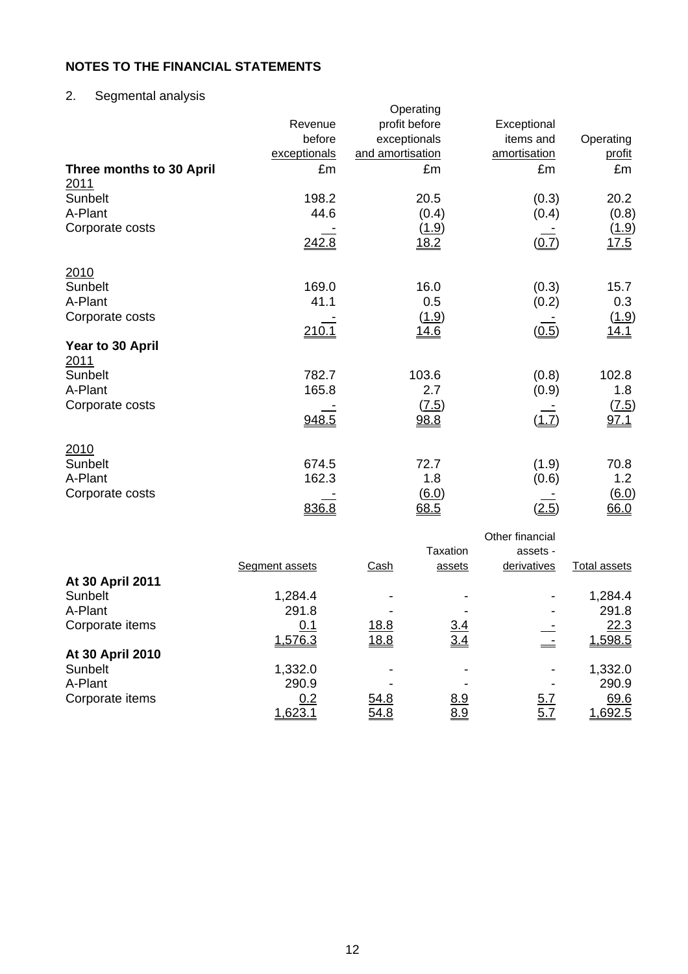# 2. Segmental analysis

|                                  | Revenue<br>before<br>exceptionals | Operating<br>profit before<br>exceptionals<br>and amortisation | Exceptional<br>items and<br>amortisation | Operating<br>profit  |
|----------------------------------|-----------------------------------|----------------------------------------------------------------|------------------------------------------|----------------------|
| Three months to 30 April<br>2011 | £m                                | £m                                                             | £m                                       | £m                   |
| Sunbelt                          | 198.2                             | 20.5                                                           | (0.3)                                    | 20.2                 |
| A-Plant                          | 44.6                              | (0.4)                                                          | (0.4)                                    | (0.8)                |
| Corporate costs                  | 242.8                             | <u>(1.9)</u><br>18.2                                           | (0.7)                                    | <u>(1.9)</u><br>17.5 |
| 2010                             |                                   |                                                                |                                          |                      |
| Sunbelt                          | 169.0                             | 16.0                                                           | (0.3)                                    | 15.7                 |
| A-Plant                          | 41.1                              | 0.5                                                            | (0.2)                                    | 0.3                  |
| Corporate costs                  | 210.1                             | (1.9)<br><u>14.6</u>                                           | (0.5)                                    | (1.9)<br>14.1        |
| Year to 30 April<br>2011         |                                   |                                                                |                                          |                      |
| Sunbelt                          | 782.7                             | 103.6                                                          | (0.8)                                    | 102.8                |
| A-Plant                          | 165.8                             | 2.7                                                            | (0.9)                                    | 1.8                  |
| Corporate costs                  | 948.5                             | (7.5)<br>98.8                                                  | (1.7)                                    | (7.5)<br>97.1        |
| 2010                             |                                   |                                                                |                                          |                      |
| Sunbelt                          | 674.5                             | 72.7                                                           | (1.9)                                    | 70.8                 |
| A-Plant                          | 162.3                             | 1.8                                                            | (0.6)                                    | 1.2                  |
| Corporate costs                  | 836.8                             | <u>(6.0)</u><br>68.5                                           | (2.5)                                    | (6.0)<br>66.0        |

|                  |                       |              | Taxation   | Other financial<br>assets - |                |
|------------------|-----------------------|--------------|------------|-----------------------------|----------------|
|                  | <b>Segment assets</b> | <b>Cash</b>  | assets     | derivatives                 | Total assets   |
| At 30 April 2011 |                       |              |            |                             |                |
| Sunbelt          | 1,284.4               |              |            | ۰                           | 1,284.4        |
| A-Plant          | 291.8                 |              |            |                             | 291.8          |
| Corporate items  | <u>0.1</u>            | <u>18.8</u>  | <u>3.4</u> |                             | 22.3           |
|                  | 1,576.3               | <u> 18.8</u> | 3.4        |                             | 1,598.5        |
| At 30 April 2010 |                       |              |            |                             |                |
| Sunbelt          | 1,332.0               |              |            | ۰                           | 1,332.0        |
| A-Plant          | 290.9                 |              |            |                             | 290.9          |
| Corporate items  | 0.2                   | 54.8         | <u>8.9</u> | <u>5.7</u>                  | 69.6           |
|                  | <u>1,623.1</u>        | <u>54.8</u>  | 8.9        | <u>5.7</u>                  | <u>1,692.5</u> |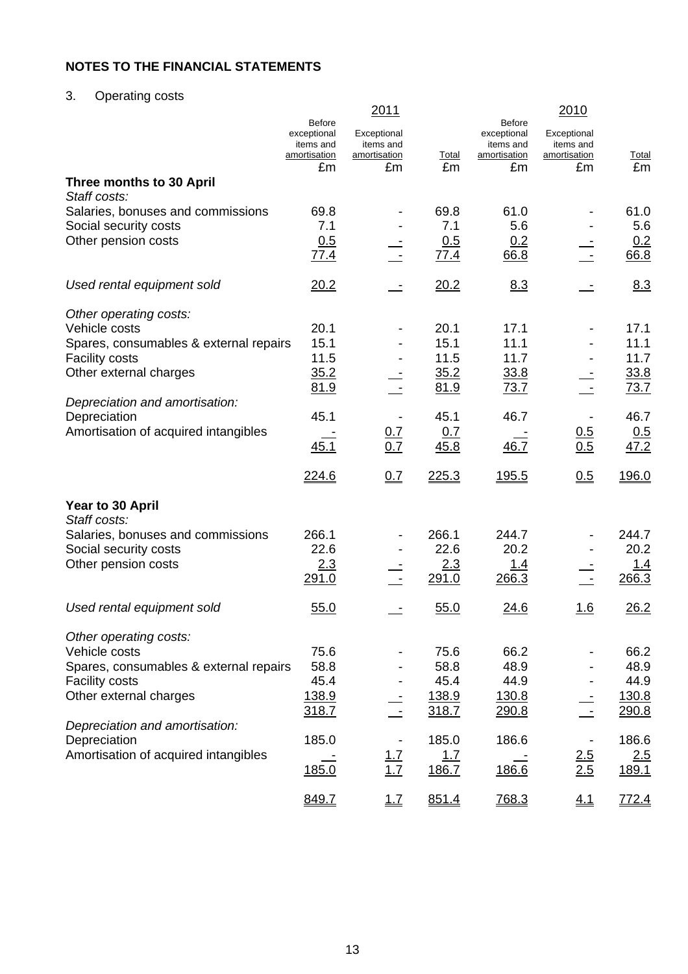# 3. Operating costs

|                                                                 | <b>Before</b>                            | 2011                                            |               | <b>Before</b>                            | 2010                                            |               |
|-----------------------------------------------------------------|------------------------------------------|-------------------------------------------------|---------------|------------------------------------------|-------------------------------------------------|---------------|
|                                                                 | exceptional<br>items and<br>amortisation | Exceptional<br>items and<br><u>amortisation</u> | <b>Total</b>  | exceptional<br>items and<br>amortisation | Exceptional<br>items and<br><u>amortisation</u> | <b>Total</b>  |
| Three months to 30 April                                        | £m                                       | £m                                              | £m            | £m                                       | £m                                              | £m            |
| Staff costs:                                                    |                                          |                                                 |               |                                          |                                                 |               |
| Salaries, bonuses and commissions                               | 69.8                                     |                                                 | 69.8          | 61.0                                     |                                                 | 61.0          |
| Social security costs                                           | 7.1                                      |                                                 | 7.1           | 5.6                                      |                                                 | 5.6           |
| Other pension costs                                             | 0.5<br>77.4                              |                                                 | 0.5<br>77.4   | 0.2<br>66.8                              |                                                 | 0.2<br>66.8   |
| Used rental equipment sold                                      | 20.2                                     |                                                 | 20.2          | 8.3                                      |                                                 | 8.3           |
| Other operating costs:                                          |                                          |                                                 |               |                                          |                                                 |               |
| Vehicle costs                                                   | 20.1                                     |                                                 | 20.1          | 17.1                                     |                                                 | 17.1          |
| Spares, consumables & external repairs<br><b>Facility costs</b> | 15.1<br>11.5                             |                                                 | 15.1<br>11.5  | 11.1<br>11.7                             |                                                 | 11.1<br>11.7  |
| Other external charges                                          | 35.2                                     |                                                 | 35.2          | 33.8                                     |                                                 | 33.8          |
|                                                                 | 81.9                                     |                                                 | 81.9          | 73.7                                     |                                                 | 73.7          |
| Depreciation and amortisation:                                  |                                          |                                                 |               |                                          |                                                 |               |
| Depreciation                                                    | 45.1                                     |                                                 | 45.1          | 46.7                                     |                                                 | 46.7          |
| Amortisation of acquired intangibles                            | 45.1                                     | 0.7<br>0.7                                      | 0.7<br>45.8   | 46.7                                     | 0.5<br>0.5                                      | 0.5<br>47.2   |
|                                                                 |                                          |                                                 |               |                                          |                                                 |               |
|                                                                 | 224.6                                    | 0.7                                             | 225.3         | <u>195.5</u>                             | 0.5                                             | 196.0         |
| Year to 30 April                                                |                                          |                                                 |               |                                          |                                                 |               |
| Staff costs:                                                    | 266.1                                    |                                                 | 266.1         | 244.7                                    |                                                 | 244.7         |
| Salaries, bonuses and commissions<br>Social security costs      | 22.6                                     |                                                 | 22.6          | 20.2                                     |                                                 | 20.2          |
| Other pension costs                                             | 2.3                                      |                                                 | 2.3           | <u>1.4</u>                               |                                                 | <u> 1.4</u>   |
|                                                                 | 291.0                                    |                                                 | 291.0         | 266.3                                    |                                                 | 266.3         |
| Used rental equipment sold                                      | 55.0                                     |                                                 | 55.0          | 24.6                                     | <u>1.6</u>                                      | 26.2          |
| Other operating costs:                                          |                                          |                                                 |               |                                          |                                                 |               |
| Vehicle costs                                                   | 75.6                                     |                                                 | 75.6          | 66.2                                     |                                                 | 66.2          |
| Spares, consumables & external repairs                          | 58.8                                     |                                                 | 58.8          | 48.9                                     |                                                 | 48.9          |
| <b>Facility costs</b><br>Other external charges                 | 45.4<br>138.9                            |                                                 | 45.4<br>138.9 | 44.9<br><u>130.8</u>                     |                                                 | 44.9<br>130.8 |
|                                                                 | 318.7                                    |                                                 | 318.7         | <u>290.8</u>                             |                                                 | 290.8         |
| Depreciation and amortisation:                                  |                                          |                                                 |               |                                          |                                                 |               |
| Depreciation                                                    | 185.0                                    |                                                 | 185.0         | 186.6                                    |                                                 | 186.6         |
| Amortisation of acquired intangibles                            |                                          | $\frac{1.7}{1.7}$                               | 1.7           |                                          | 2.5<br>2.5                                      | 2.5           |
|                                                                 | 185.0                                    |                                                 | 186.7         | 186.6                                    |                                                 | 189.1         |
|                                                                 | 849.7                                    | $\underline{1.7}$                               | 851.4         | 768.3                                    | 4.1                                             | 772.4         |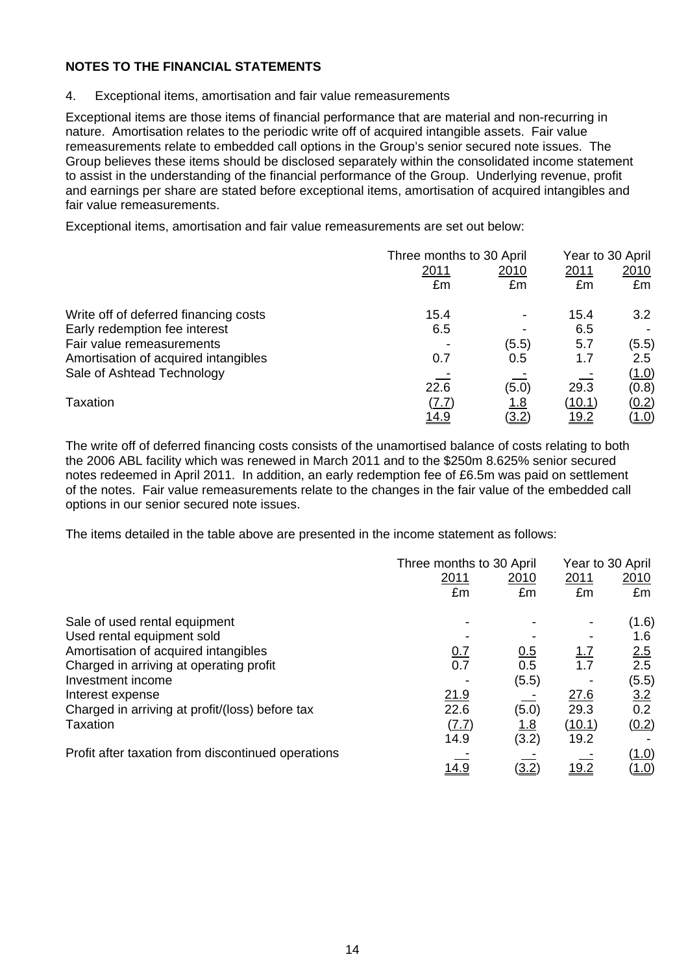4. Exceptional items, amortisation and fair value remeasurements

Exceptional items are those items of financial performance that are material and non-recurring in nature. Amortisation relates to the periodic write off of acquired intangible assets. Fair value remeasurements relate to embedded call options in the Group's senior secured note issues. The Group believes these items should be disclosed separately within the consolidated income statement to assist in the understanding of the financial performance of the Group. Underlying revenue, profit and earnings per share are stated before exceptional items, amortisation of acquired intangibles and fair value remeasurements.

Exceptional items, amortisation and fair value remeasurements are set out below:

|                                       | Three months to 30 April | Year to 30 April |               |               |
|---------------------------------------|--------------------------|------------------|---------------|---------------|
|                                       | 2011                     | 2010             | 2011          | 2010          |
|                                       | £m                       | £m               | £m            | £m            |
| Write off of deferred financing costs | 15.4                     |                  | 15.4          | 3.2           |
| Early redemption fee interest         | 6.5                      |                  | 6.5           |               |
| Fair value remeasurements             |                          | (5.5)            | 5.7           | (5.5)         |
| Amortisation of acquired intangibles  | 0.7                      | 0.5              | 1.7           | $2.5^{\circ}$ |
| Sale of Ashtead Technology            |                          |                  |               | (1.0)         |
|                                       | 22.6                     | (5.0)            | 29.3          | (0.8)         |
| Taxation                              | <u>(7.7)</u>             | <u> 1.8</u>      | <u>(10.1)</u> | <u>(0.2)</u>  |
|                                       | <u> 14.9</u>             | (3.2)            | <u> 19.2</u>  | <u>(1.0)</u>  |

The write off of deferred financing costs consists of the unamortised balance of costs relating to both the 2006 ABL facility which was renewed in March 2011 and to the \$250m 8.625% senior secured notes redeemed in April 2011. In addition, an early redemption fee of £6.5m was paid on settlement of the notes. Fair value remeasurements relate to the changes in the fair value of the embedded call options in our senior secured note issues.

The items detailed in the table above are presented in the income statement as follows:

|                                                    |              | Three months to 30 April |              |              |
|----------------------------------------------------|--------------|--------------------------|--------------|--------------|
|                                                    | 2011         | <u>2010</u>              | 2011         | 2010         |
|                                                    | £m           | £m                       | £m           | £m           |
| Sale of used rental equipment                      |              |                          |              | (1.6)        |
| Used rental equipment sold                         |              |                          |              | 1.6          |
| Amortisation of acquired intangibles               | <u>0.7</u>   | 0.5                      | <u>1.7</u>   | 2.5          |
| Charged in arriving at operating profit            | 0.7          | 0.5                      | 1.7          | 2.5          |
| Investment income                                  |              | (5.5)                    |              | (5.5)        |
| Interest expense                                   | 21.9         |                          | 27.6         | 3.2          |
| Charged in arriving at profit/(loss) before tax    | 22.6         | (5.0)                    | 29.3         | 0.2          |
| Taxation                                           | <u>(7.7)</u> | <u>1.8</u>               | (10.1)       | (0.2)        |
|                                                    | 14.9         | (3.2)                    | 19.2         |              |
| Profit after taxation from discontinued operations |              |                          |              | (1.0)        |
|                                                    | <u> 14.9</u> | <u>(3.2)</u>             | <u> 19.2</u> | <u>(1.0)</u> |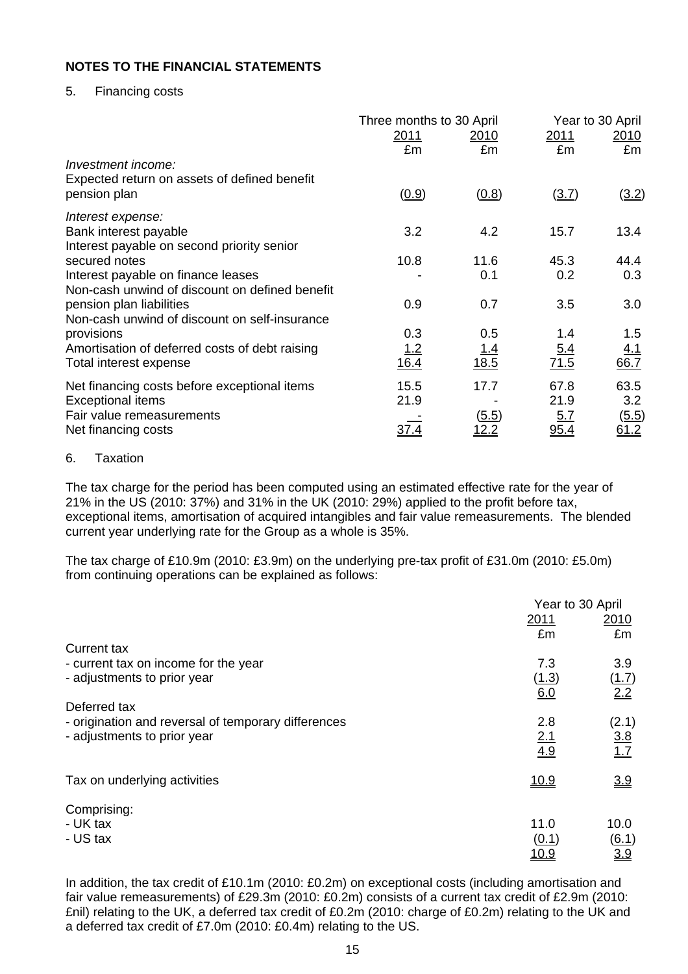### 5. Financing costs

|                                                                          | Three months to 30 April |                    | Year to 30 April |                   |  |
|--------------------------------------------------------------------------|--------------------------|--------------------|------------------|-------------------|--|
|                                                                          | <u>2011</u><br>£m        | <u>2010</u><br>£m  | 2011<br>£m       | <u>2010</u><br>£m |  |
| Investment income:                                                       |                          |                    |                  |                   |  |
| Expected return on assets of defined benefit                             |                          |                    |                  |                   |  |
| pension plan                                                             | (0.9)                    | (0.8)              | (3.7)            | (3.2)             |  |
| Interest expense:                                                        |                          |                    |                  |                   |  |
| Bank interest payable                                                    | 3.2                      | 4.2                | 15.7             | 13.4              |  |
| Interest payable on second priority senior<br>secured notes              | 10.8                     | 11.6               | 45.3             | 44.4              |  |
| Interest payable on finance leases                                       |                          | 0.1                | 0.2              | 0.3               |  |
| Non-cash unwind of discount on defined benefit                           |                          |                    |                  |                   |  |
| pension plan liabilities                                                 | 0.9                      | 0.7                | 3.5              | 3.0               |  |
| Non-cash unwind of discount on self-insurance                            |                          |                    |                  |                   |  |
| provisions                                                               | 0.3                      | 0.5                | 1.4              | 1.5               |  |
| Amortisation of deferred costs of debt raising<br>Total interest expense | <u> 1.2</u><br>16.4      | <u>1.4</u><br>18.5 | 5.4<br>71.5      | 4.1<br>66.7       |  |
| Net financing costs before exceptional items                             | 15.5                     | 17.7               | 67.8             | 63.5              |  |
| <b>Exceptional items</b>                                                 | 21.9                     |                    | 21.9             | 3.2               |  |
| Fair value remeasurements                                                |                          | <u>(5.5)</u>       | 5.7              | (5.5)             |  |
| Net financing costs                                                      | 37.4                     |                    |                  | <u>61.2</u>       |  |

### 6. Taxation

The tax charge for the period has been computed using an estimated effective rate for the year of 21% in the US (2010: 37%) and 31% in the UK (2010: 29%) applied to the profit before tax, exceptional items, amortisation of acquired intangibles and fair value remeasurements. The blended current year underlying rate for the Group as a whole is 35%.

The tax charge of £10.9m (2010: £3.9m) on the underlying pre-tax profit of £31.0m (2010: £5.0m) from continuing operations can be explained as follows:

| Year to 30 April |                                                                        |  |
|------------------|------------------------------------------------------------------------|--|
| 2011             | 2010                                                                   |  |
|                  | £m                                                                     |  |
|                  |                                                                        |  |
|                  | 3.9                                                                    |  |
|                  | (1.7)                                                                  |  |
|                  | 2.2                                                                    |  |
|                  |                                                                        |  |
|                  | (2.1)                                                                  |  |
|                  | $\frac{3.8}{1.7}$                                                      |  |
|                  |                                                                        |  |
|                  | 3.9                                                                    |  |
|                  |                                                                        |  |
|                  |                                                                        |  |
| 11.0             | 10.0                                                                   |  |
|                  | $\underline{(6.1)}$                                                    |  |
| <u> 10.9</u>     | 3.9                                                                    |  |
|                  | £m<br>7.3<br>(1.3)<br>6.0<br>2.8<br>2.1<br>4.9<br><u>10.9</u><br>(0.1) |  |

In addition, the tax credit of £10.1m (2010: £0.2m) on exceptional costs (including amortisation and fair value remeasurements) of £29.3m (2010: £0.2m) consists of a current tax credit of £2.9m (2010: £nil) relating to the UK, a deferred tax credit of £0.2m (2010: charge of £0.2m) relating to the UK and a deferred tax credit of £7.0m (2010: £0.4m) relating to the US.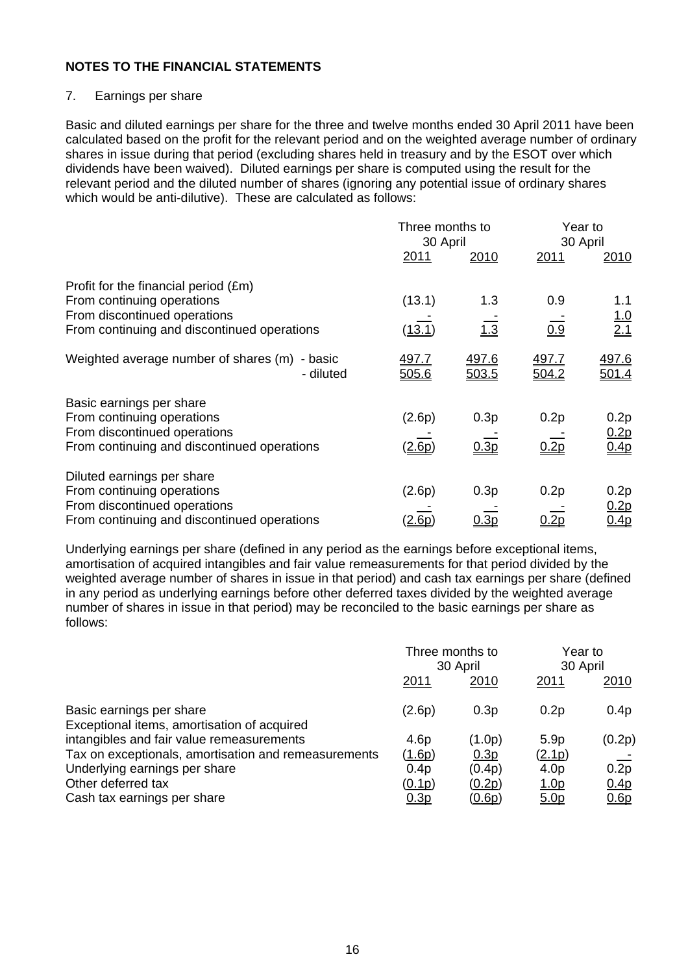# 7. Earnings per share

Basic and diluted earnings per share for the three and twelve months ended 30 April 2011 have been calculated based on the profit for the relevant period and on the weighted average number of ordinary shares in issue during that period (excluding shares held in treasury and by the ESOT over which dividends have been waived). Diluted earnings per share is computed using the result for the relevant period and the diluted number of shares (ignoring any potential issue of ordinary shares which would be anti-dilutive). These are calculated as follows:

|                                                                                                                                                            | Three months to<br>30 April |                       | Year to<br>30 April   |                                    |
|------------------------------------------------------------------------------------------------------------------------------------------------------------|-----------------------------|-----------------------|-----------------------|------------------------------------|
|                                                                                                                                                            | 2011                        | 2010                  | 2011                  | 2010                               |
| Profit for the financial period $(\text{Em})$<br>From continuing operations<br>From discontinued operations<br>From continuing and discontinued operations | (13.1)<br><u>13.1 </u>      | 1.3<br>1.3            | 0.9<br>0.9            | 1.1<br>$\frac{1.0}{2.1}$           |
| Weighted average number of shares (m) - basic<br>- diluted                                                                                                 | 497.7<br>505.6              | <u>497.6</u><br>503.5 | <u>497.7</u><br>504.2 | <u>497.6</u>                       |
| Basic earnings per share<br>From continuing operations<br>From discontinued operations<br>From continuing and discontinued operations                      | (2.6p)<br>(2.6p)            | 0.3p<br>0.3p          | 0.2p<br>0.2p          | 0.2p<br>0.2p<br>0.4p               |
| Diluted earnings per share<br>From continuing operations<br>From discontinued operations<br>From continuing and discontinued operations                    | (2.6p)<br>s.6p              | 0.3p<br><u>0.3p</u>   | 0.2p                  | 0.2p<br><u>0.2p</u><br><u>0.4p</u> |

Underlying earnings per share (defined in any period as the earnings before exceptional items, amortisation of acquired intangibles and fair value remeasurements for that period divided by the weighted average number of shares in issue in that period) and cash tax earnings per share (defined in any period as underlying earnings before other deferred taxes divided by the weighted average number of shares in issue in that period) may be reconciled to the basic earnings per share as follows:

|                                                                         | Three months to<br>30 April |               | Year to<br>30 April |                   |
|-------------------------------------------------------------------------|-----------------------------|---------------|---------------------|-------------------|
|                                                                         | <u>2011</u>                 | 2010          | 2011                | <u>2010</u>       |
| Basic earnings per share<br>Exceptional items, amortisation of acquired | (2.6p)                      | 0.3p          | 0.2p                | 0.4p              |
| intangibles and fair value remeasurements                               | 4.6 <sub>p</sub>            | (1.0p)        | 5.9 <sub>p</sub>    | (0.2p)            |
| Tax on exceptionals, amortisation and remeasurements                    | <u>(1.6p)</u>               | 0.3p          | (2.1p)              |                   |
| Underlying earnings per share                                           | 0.4p                        | (0.4p)        | 4.0 <sub>p</sub>    | $0.\overline{2p}$ |
| Other deferred tax                                                      | (0.1p)                      | (0.2p)        | <u>1.0p</u>         | 0.4 <sub>p</sub>  |
| Cash tax earnings per share                                             | 0.3p                        | <u>(0.6p)</u> | 5.0p                | 0.6p              |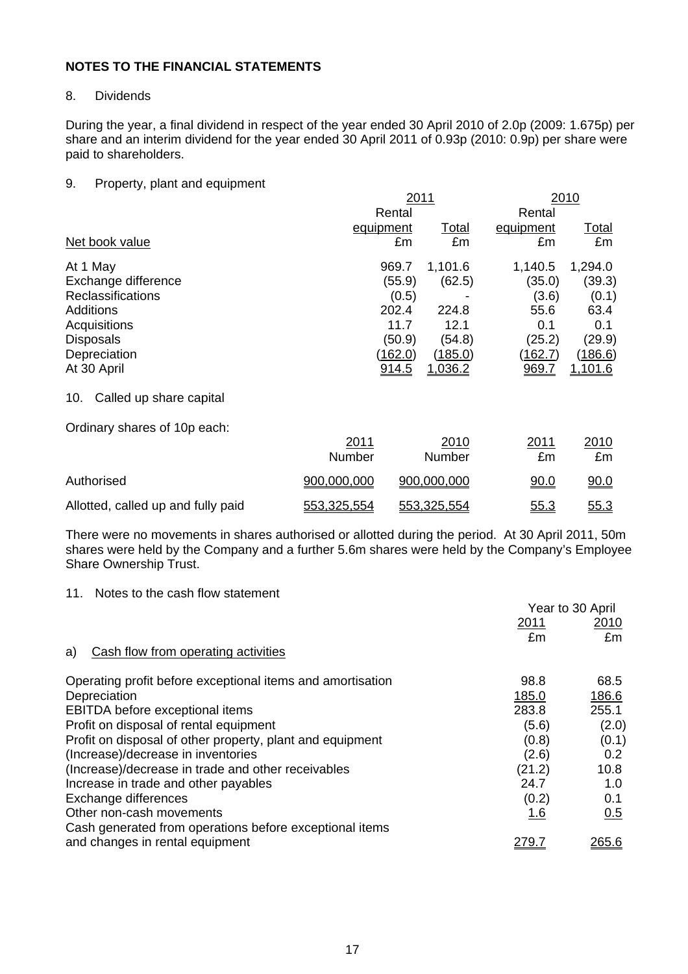### 8. Dividends

During the year, a final dividend in respect of the year ended 30 April 2010 of 2.0p (2009: 1.675p) per share and an interim dividend for the year ended 30 April 2011 of 0.93p (2010: 0.9p) per share were paid to shareholders.

### 9. Property, plant and equipment

|                                    | 2011        |                |                | 2010      |                |  |
|------------------------------------|-------------|----------------|----------------|-----------|----------------|--|
|                                    |             | Rental         |                | Rental    |                |  |
|                                    | equipment   |                | <u>Total</u>   | equipment | <u>Total</u>   |  |
| Net book value                     |             | £m             | £m             | £m        | £m             |  |
| At 1 May                           |             | 969.7          | 1,101.6        | 1,140.5   | 1,294.0        |  |
| Exchange difference                |             | (55.9)         | (62.5)         | (35.0)    | (39.3)         |  |
| <b>Reclassifications</b>           |             | (0.5)          |                | (3.6)     | (0.1)          |  |
| <b>Additions</b>                   |             | 202.4          | 224.8          | 55.6      | 63.4           |  |
| Acquisitions                       |             | 11.7           | 12.1           | 0.1       | 0.1            |  |
| <b>Disposals</b>                   |             | (50.9)         | (54.8)         | (25.2)    | (29.9)         |  |
| Depreciation                       |             | <u>(162.0)</u> | (185.0)        | (162.7)   | (186.6)        |  |
| At 30 April                        |             | 914.5          | <u>1.036.2</u> | 969.7     | <u>1,101.6</u> |  |
| Called up share capital<br>10.     |             |                |                |           |                |  |
| Ordinary shares of 10p each:       |             |                |                |           |                |  |
|                                    | 2011        |                | 2010           | 2011      | 2010           |  |
|                                    | Number      |                | Number         | £m        | £m             |  |
| Authorised                         | 900,000,000 |                | 900,000,000    | 90.0      | 90.0           |  |
| Allotted, called up and fully paid | 553,325,554 |                | 553,325,554    | 55.3      | 55.3           |  |

There were no movements in shares authorised or allotted during the period. At 30 April 2011, 50m shares were held by the Company and a further 5.6m shares were held by the Company's Employee Share Ownership Trust.

### 11. Notes to the cash flow statement

|                                                            | Year to 30 April |               |
|------------------------------------------------------------|------------------|---------------|
|                                                            | 2011             | 2010          |
|                                                            | £m               | £m            |
| Cash flow from operating activities<br>a)                  |                  |               |
| Operating profit before exceptional items and amortisation | 98.8             | 68.5          |
| Depreciation                                               | 185.0            | 186.6         |
| EBITDA before exceptional items                            | 283.8            | 255.1         |
| Profit on disposal of rental equipment                     | (5.6)            | (2.0)         |
| Profit on disposal of other property, plant and equipment  | (0.8)            | (0.1)         |
| (Increase)/decrease in inventories                         | (2.6)            | 0.2           |
| (Increase)/decrease in trade and other receivables         | (21.2)           | 10.8          |
| Increase in trade and other payables                       | 24.7             | 1.0           |
| Exchange differences                                       | (0.2)            | 0.1           |
| Other non-cash movements                                   | <u>1.6</u>       | 0.5           |
| Cash generated from operations before exceptional items    |                  |               |
| and changes in rental equipment                            | <u> 279.7</u>    | <u> 265.6</u> |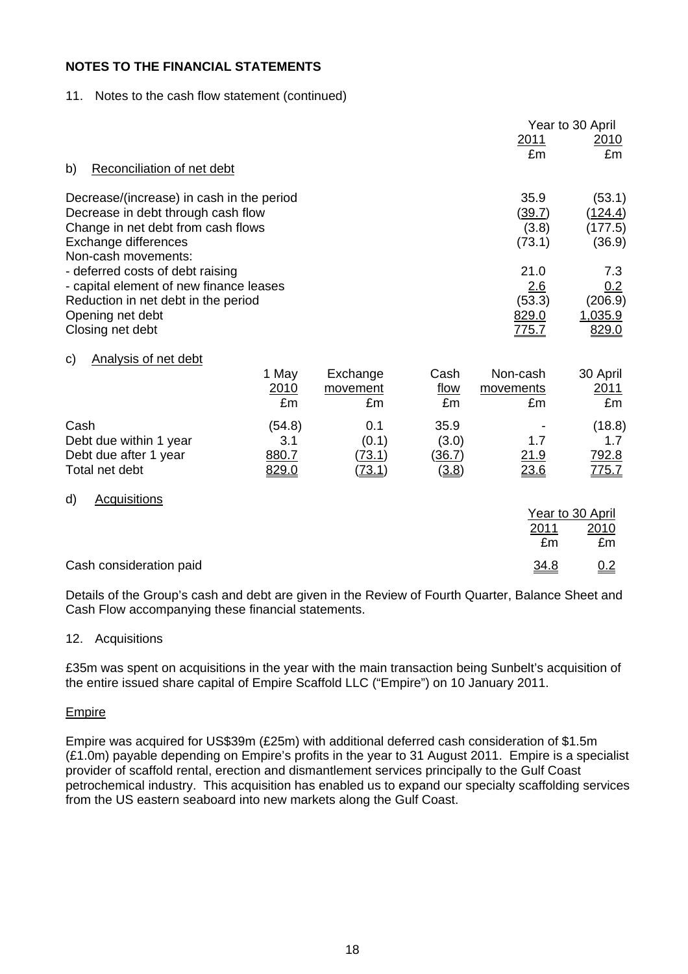### 11. Notes to the cash flow statement (continued)

|                                             |              |               |              |              | Year to 30 April |
|---------------------------------------------|--------------|---------------|--------------|--------------|------------------|
|                                             |              |               |              | <u>2011</u>  | 2010             |
| Reconciliation of net debt<br>b)            |              |               |              | £m           | £m               |
|                                             |              |               |              |              |                  |
| Decrease/(increase) in cash in the period   |              |               |              | 35.9         | (53.1)           |
| Decrease in debt through cash flow          |              |               |              | (39.7)       | (124.4)          |
| Change in net debt from cash flows          |              |               |              | (3.8)        | (177.5)          |
| Exchange differences<br>Non-cash movements: |              |               |              | (73.1)       | (36.9)           |
| - deferred costs of debt raising            |              |               |              | 21.0         | 7.3              |
| - capital element of new finance leases     |              |               |              | 2.6          | 0.2              |
| Reduction in net debt in the period         |              |               |              | (53.3)       | (206.9)          |
| Opening net debt                            |              |               |              | 829.0        | 1,035.9          |
| Closing net debt                            |              |               |              | <u>775.7</u> | 829.0            |
| Analysis of net debt<br>C)                  |              |               |              |              |                  |
|                                             | 1 May        | Exchange      | Cash         | Non-cash     | 30 April         |
|                                             | 2010         | movement      | <u>flow</u>  | movements    | 2011             |
|                                             | £m           | £m            | £m           | £m           | £m               |
| Cash                                        | (54.8)       | 0.1           | 35.9         |              | (18.8)           |
| Debt due within 1 year                      | 3.1          | (0.1)         | (3.0)        | 1.7          | 1.7              |
| Debt due after 1 year                       | 880.7        | (73.1)        | (36.7)       | 21.9         | 792.8            |
| Total net debt                              | <u>829.0</u> | <u>(73.1)</u> | <u>(3.8)</u> | 23.6         | <u>775.7</u>     |
| <b>Acquisitions</b><br>d)                   |              |               |              |              |                  |
|                                             |              |               |              |              | Year to 30 April |
|                                             |              |               |              | 2011         | <u> 2010</u>     |
|                                             |              |               |              | £m           | £m               |
| Cash consideration paid                     |              |               |              | 34.8         | 0.2              |

Details of the Group's cash and debt are given in the Review of Fourth Quarter, Balance Sheet and Cash Flow accompanying these financial statements.

### 12. Acquisitions

£35m was spent on acquisitions in the year with the main transaction being Sunbelt's acquisition of the entire issued share capital of Empire Scaffold LLC ("Empire") on 10 January 2011.

### Empire

Empire was acquired for US\$39m (£25m) with additional deferred cash consideration of \$1.5m (£1.0m) payable depending on Empire's profits in the year to 31 August 2011. Empire is a specialist provider of scaffold rental, erection and dismantlement services principally to the Gulf Coast petrochemical industry. This acquisition has enabled us to expand our specialty scaffolding services from the US eastern seaboard into new markets along the Gulf Coast.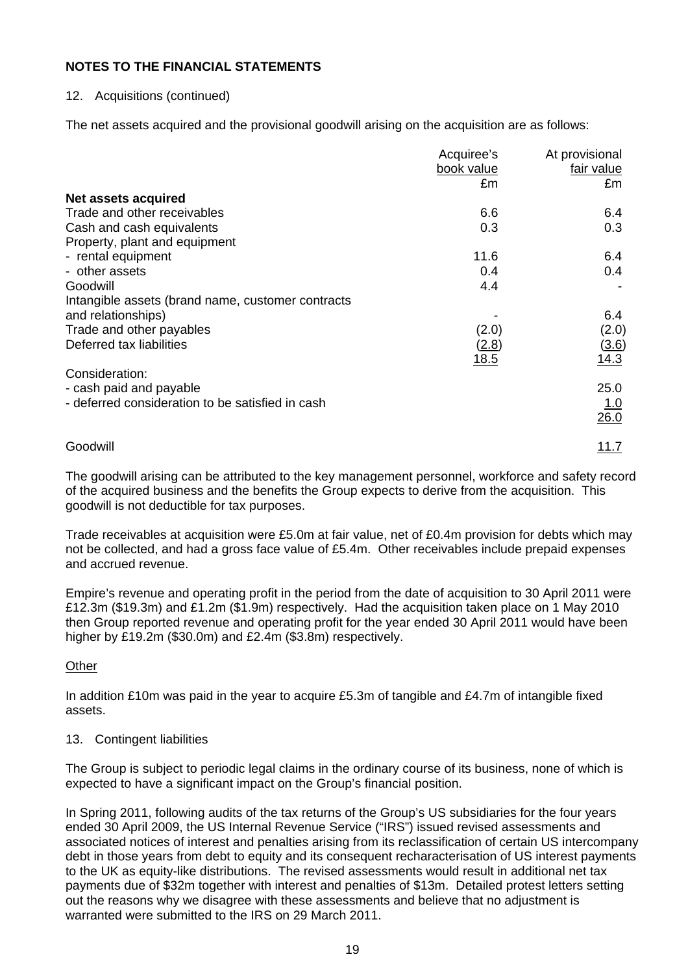# 12. Acquisitions (continued)

The net assets acquired and the provisional goodwill arising on the acquisition are as follows:

|                                                   | Acquiree's  | At provisional |
|---------------------------------------------------|-------------|----------------|
|                                                   | book value  | fair value     |
|                                                   | £m          | £m             |
| Net assets acquired                               |             |                |
| Trade and other receivables                       | 6.6         | 6.4            |
| Cash and cash equivalents                         | 0.3         | 0.3            |
| Property, plant and equipment                     |             |                |
| - rental equipment                                | 11.6        | 6.4            |
| - other assets                                    | 0.4         | 0.4            |
| Goodwill                                          | 4.4         |                |
| Intangible assets (brand name, customer contracts |             |                |
| and relationships)                                |             | 6.4            |
| Trade and other payables                          | (2.0)       | (2.0)          |
| Deferred tax liabilities                          | (2.8)       | (3.6)          |
|                                                   | <u>18.5</u> | 14.3           |
| Consideration:                                    |             |                |
| - cash paid and payable                           |             | 25.0           |
| - deferred consideration to be satisfied in cash  |             | 1.0            |
|                                                   |             | 26.0           |
|                                                   |             |                |
| Goodwill                                          |             | 11.7           |

The goodwill arising can be attributed to the key management personnel, workforce and safety record of the acquired business and the benefits the Group expects to derive from the acquisition. This goodwill is not deductible for tax purposes.

Trade receivables at acquisition were £5.0m at fair value, net of £0.4m provision for debts which may not be collected, and had a gross face value of £5.4m. Other receivables include prepaid expenses and accrued revenue.

Empire's revenue and operating profit in the period from the date of acquisition to 30 April 2011 were £12.3m (\$19.3m) and £1.2m (\$1.9m) respectively. Had the acquisition taken place on 1 May 2010 then Group reported revenue and operating profit for the year ended 30 April 2011 would have been higher by £19.2m (\$30.0m) and £2.4m (\$3.8m) respectively.

# **Other**

In addition £10m was paid in the year to acquire £5.3m of tangible and £4.7m of intangible fixed assets.

### 13. Contingent liabilities

The Group is subject to periodic legal claims in the ordinary course of its business, none of which is expected to have a significant impact on the Group's financial position.

In Spring 2011, following audits of the tax returns of the Group's US subsidiaries for the four years ended 30 April 2009, the US Internal Revenue Service ("IRS") issued revised assessments and associated notices of interest and penalties arising from its reclassification of certain US intercompany debt in those years from debt to equity and its consequent recharacterisation of US interest payments to the UK as equity-like distributions. The revised assessments would result in additional net tax payments due of \$32m together with interest and penalties of \$13m. Detailed protest letters setting out the reasons why we disagree with these assessments and believe that no adjustment is warranted were submitted to the IRS on 29 March 2011.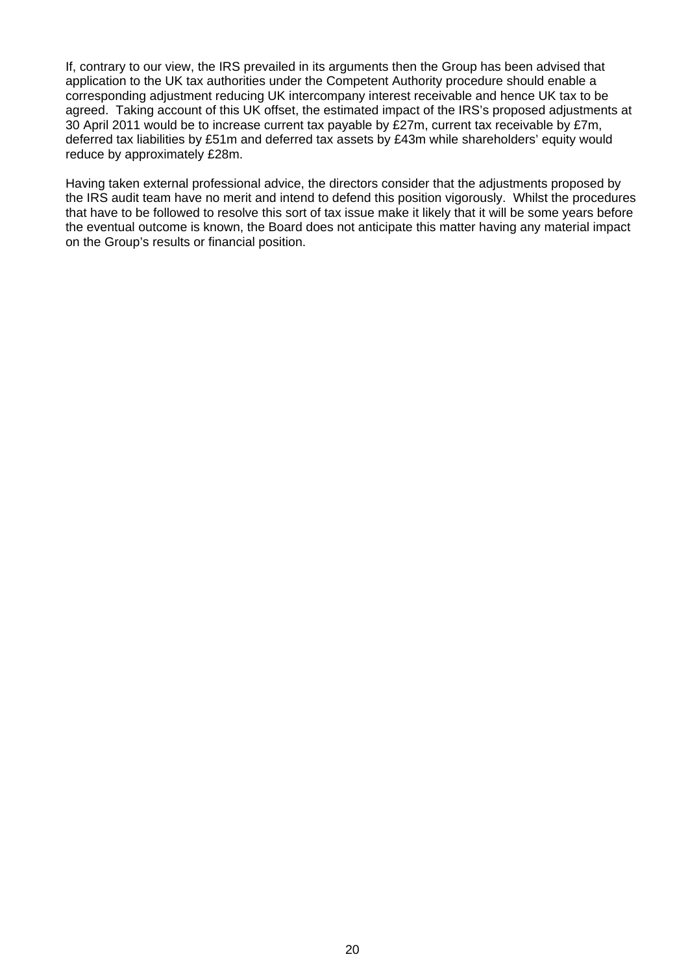If, contrary to our view, the IRS prevailed in its arguments then the Group has been advised that application to the UK tax authorities under the Competent Authority procedure should enable a corresponding adjustment reducing UK intercompany interest receivable and hence UK tax to be agreed. Taking account of this UK offset, the estimated impact of the IRS's proposed adjustments at 30 April 2011 would be to increase current tax payable by £27m, current tax receivable by £7m, deferred tax liabilities by £51m and deferred tax assets by £43m while shareholders' equity would reduce by approximately £28m.

Having taken external professional advice, the directors consider that the adjustments proposed by the IRS audit team have no merit and intend to defend this position vigorously. Whilst the procedures that have to be followed to resolve this sort of tax issue make it likely that it will be some years before the eventual outcome is known, the Board does not anticipate this matter having any material impact on the Group's results or financial position.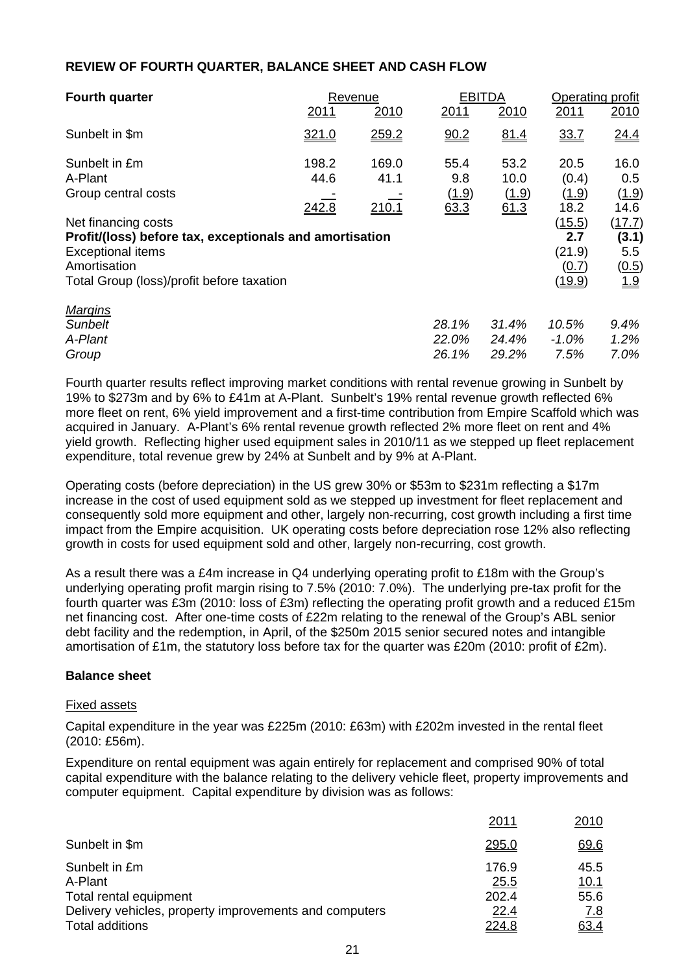| <b>Fourth quarter</b>                                                                                                                                                   |                        | Revenue                |                              | <b>EBITDA</b>                 | Operating profit                           |                                        |
|-------------------------------------------------------------------------------------------------------------------------------------------------------------------------|------------------------|------------------------|------------------------------|-------------------------------|--------------------------------------------|----------------------------------------|
|                                                                                                                                                                         | 2011                   | 2010                   | 2011                         | 2010                          | 2011                                       | 2010                                   |
| Sunbelt in \$m                                                                                                                                                          | 321.0                  | 259.2                  | 90.2                         | 81.4                          | 33.7                                       | 24.4                                   |
| Sunbelt in £m<br>A-Plant<br>Group central costs                                                                                                                         | 198.2<br>44.6<br>242.8 | 169.0<br>41.1<br>210.1 | 55.4<br>9.8<br>(1.9)<br>63.3 | 53.2<br>10.0<br>(1.9)<br>61.3 | 20.5<br>(0.4)<br>(1.9)<br>18.2             | 16.0<br>0.5<br>(1.9)<br>14.6           |
| Net financing costs<br>Profit/(loss) before tax, exceptionals and amortisation<br><b>Exceptional items</b><br>Amortisation<br>Total Group (loss)/profit before taxation |                        |                        |                              |                               | (15.5)<br>2.7<br>(21.9)<br>(0.7)<br>(19.9) | (17.7)<br>(3.1)<br>5.5<br>(0.5)<br>1.9 |
| Margins<br>Sunbelt<br>A-Plant<br>Group                                                                                                                                  |                        |                        | 28.1%<br>22.0%<br>26.1%      | 31.4%<br>24.4%<br>29.2%       | 10.5%<br>$-1.0\%$<br>7.5%                  | 9.4%<br>1.2%<br>7.0%                   |

### **REVIEW OF FOURTH QUARTER, BALANCE SHEET AND CASH FLOW**

Fourth quarter results reflect improving market conditions with rental revenue growing in Sunbelt by 19% to \$273m and by 6% to £41m at A-Plant. Sunbelt's 19% rental revenue growth reflected 6% more fleet on rent, 6% yield improvement and a first-time contribution from Empire Scaffold which was acquired in January. A-Plant's 6% rental revenue growth reflected 2% more fleet on rent and 4% yield growth. Reflecting higher used equipment sales in 2010/11 as we stepped up fleet replacement expenditure, total revenue grew by 24% at Sunbelt and by 9% at A-Plant.

Operating costs (before depreciation) in the US grew 30% or \$53m to \$231m reflecting a \$17m increase in the cost of used equipment sold as we stepped up investment for fleet replacement and consequently sold more equipment and other, largely non-recurring, cost growth including a first time impact from the Empire acquisition. UK operating costs before depreciation rose 12% also reflecting growth in costs for used equipment sold and other, largely non-recurring, cost growth.

As a result there was a £4m increase in Q4 underlying operating profit to £18m with the Group's underlying operating profit margin rising to 7.5% (2010: 7.0%). The underlying pre-tax profit for the fourth quarter was £3m (2010: loss of £3m) reflecting the operating profit growth and a reduced £15m net financing cost. After one-time costs of £22m relating to the renewal of the Group's ABL senior debt facility and the redemption, in April, of the \$250m 2015 senior secured notes and intangible amortisation of £1m, the statutory loss before tax for the quarter was £20m (2010: profit of £2m).

### **Balance sheet**

#### Fixed assets

Capital expenditure in the year was £225m (2010: £63m) with £202m invested in the rental fleet (2010: £56m).

Expenditure on rental equipment was again entirely for replacement and comprised 90% of total capital expenditure with the balance relating to the delivery vehicle fleet, property improvements and computer equipment. Capital expenditure by division was as follows:

|                                                                                                                                        | 2011                                    | 2010                                               |
|----------------------------------------------------------------------------------------------------------------------------------------|-----------------------------------------|----------------------------------------------------|
| Sunbelt in \$m                                                                                                                         | <u>295.0</u>                            | 69.6                                               |
| Sunbelt in £m<br>A-Plant<br>Total rental equipment<br>Delivery vehicles, property improvements and computers<br><b>Total additions</b> | 176.9<br>25.5<br>202.4<br>22.4<br>224.8 | 45.5<br><u> 10.1</u><br>55.6<br><u>7.8</u><br>63.4 |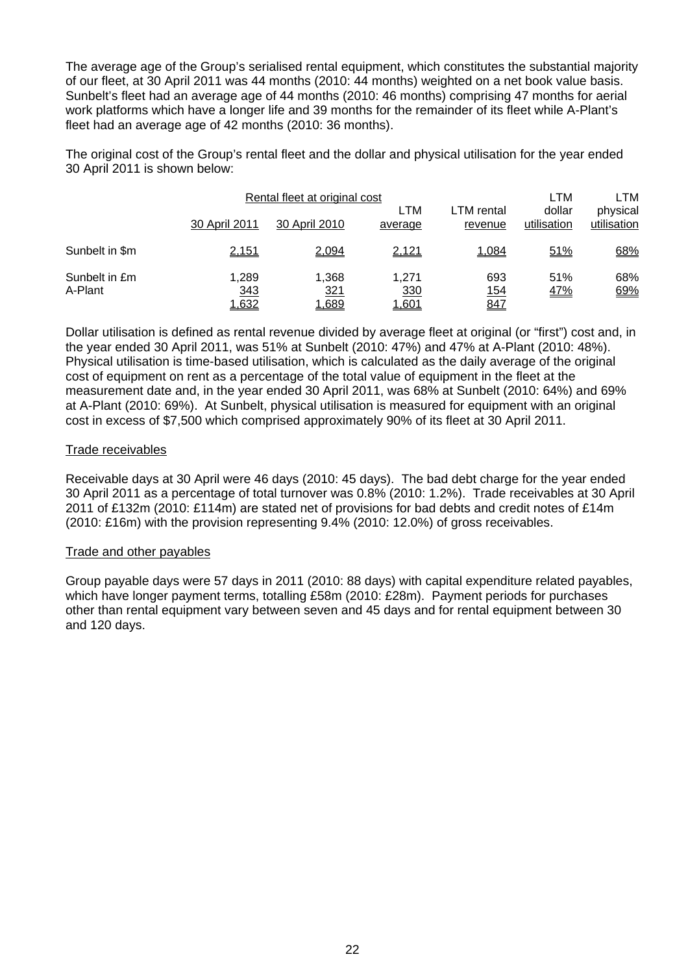The average age of the Group's serialised rental equipment, which constitutes the substantial majority of our fleet, at 30 April 2011 was 44 months (2010: 44 months) weighted on a net book value basis. Sunbelt's fleet had an average age of 44 months (2010: 46 months) comprising 47 months for aerial work platforms which have a longer life and 39 months for the remainder of its fleet while A-Plant's fleet had an average age of 42 months (2010: 36 months).

The original cost of the Group's rental fleet and the dollar and physical utilisation for the year ended 30 April 2011 is shown below:

|                          | Rental fleet at original cost |                       | LTM                          |                           |                       |                         |
|--------------------------|-------------------------------|-----------------------|------------------------------|---------------------------|-----------------------|-------------------------|
|                          | 30 April 2011                 | 30 April 2010         | LTM<br>average               | LTM rental<br>revenue     | dollar<br>utilisation | physical<br>utilisation |
| Sunbelt in \$m           | 2,151                         | 2,094                 | 2,121                        | 1,084                     | 51%                   | 68%                     |
| Sunbelt in £m<br>A-Plant | 1.289<br><u>343</u><br>1,632  | 1,368<br>321<br>1,689 | 1.271<br>330<br><u>1,601</u> | 693<br><u> 154</u><br>847 | 51%<br><u>47%</u>     | 68%<br>69%              |

Dollar utilisation is defined as rental revenue divided by average fleet at original (or "first") cost and, in the year ended 30 April 2011, was 51% at Sunbelt (2010: 47%) and 47% at A-Plant (2010: 48%). Physical utilisation is time-based utilisation, which is calculated as the daily average of the original cost of equipment on rent as a percentage of the total value of equipment in the fleet at the measurement date and, in the year ended 30 April 2011, was 68% at Sunbelt (2010: 64%) and 69% at A-Plant (2010: 69%). At Sunbelt, physical utilisation is measured for equipment with an original cost in excess of \$7,500 which comprised approximately 90% of its fleet at 30 April 2011.

### Trade receivables

Receivable days at 30 April were 46 days (2010: 45 days). The bad debt charge for the year ended 30 April 2011 as a percentage of total turnover was 0.8% (2010: 1.2%). Trade receivables at 30 April 2011 of £132m (2010: £114m) are stated net of provisions for bad debts and credit notes of £14m (2010: £16m) with the provision representing 9.4% (2010: 12.0%) of gross receivables.

### Trade and other payables

Group payable days were 57 days in 2011 (2010: 88 days) with capital expenditure related payables, which have longer payment terms, totalling £58m (2010: £28m). Payment periods for purchases other than rental equipment vary between seven and 45 days and for rental equipment between 30 and 120 days.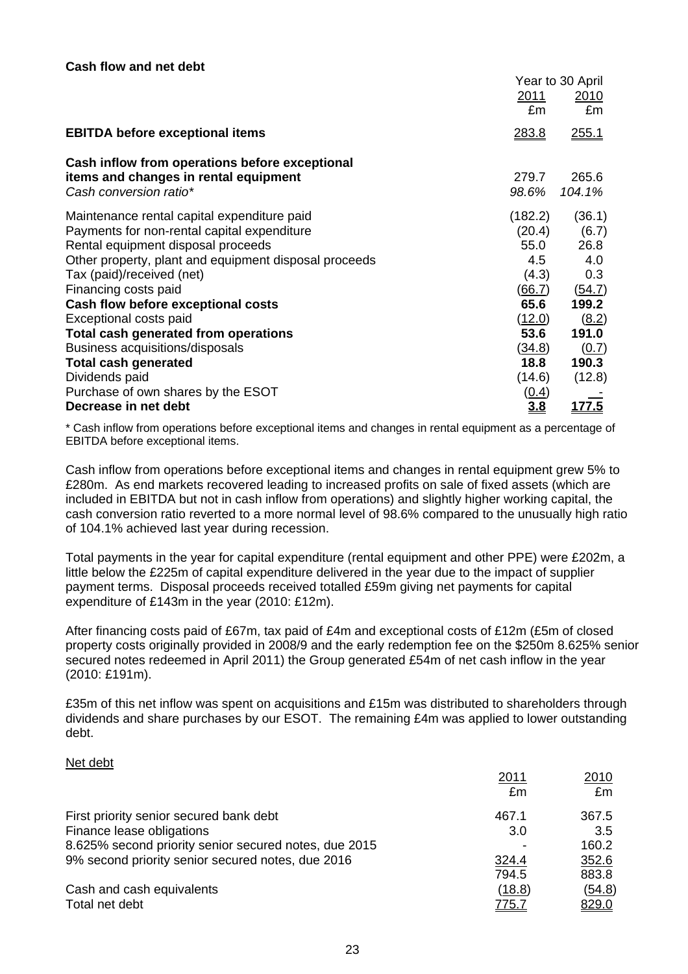|                                                       | Year to 30 April |               |
|-------------------------------------------------------|------------------|---------------|
|                                                       | <u>2011</u>      | 2010          |
|                                                       | £m               | £m            |
| <b>EBITDA before exceptional items</b>                | 283.8            | <u>255.1</u>  |
| Cash inflow from operations before exceptional        |                  |               |
| items and changes in rental equipment                 | 279.7            | 265.6         |
| Cash conversion ratio*                                | 98.6%            | 104.1%        |
| Maintenance rental capital expenditure paid           | (182.2)          | (36.1)        |
| Payments for non-rental capital expenditure           | (20.4)           | (6.7)         |
| Rental equipment disposal proceeds                    | 55.0             | 26.8          |
| Other property, plant and equipment disposal proceeds | 4.5              | 4.0           |
| Tax (paid)/received (net)                             | (4.3)            | 0.3           |
| Financing costs paid                                  | (66.7)           | (54.7)        |
| Cash flow before exceptional costs                    | 65.6             | 199.2         |
| Exceptional costs paid                                | (12.0)           | (8.2)         |
| Total cash generated from operations                  | 53.6             | 191.0         |
| Business acquisitions/disposals                       | <u>(34.8)</u>    | (0.7)         |
| <b>Total cash generated</b>                           | 18.8             | 190.3         |
| Dividends paid                                        | (14.6)           | (12.8)        |
| Purchase of own shares by the ESOT                    | <u>(0.4)</u>     |               |
| Decrease in net debt                                  | 3.8              | <u> 177.5</u> |

\* Cash inflow from operations before exceptional items and changes in rental equipment as a percentage of EBITDA before exceptional items.

Cash inflow from operations before exceptional items and changes in rental equipment grew 5% to £280m. As end markets recovered leading to increased profits on sale of fixed assets (which are included in EBITDA but not in cash inflow from operations) and slightly higher working capital, the cash conversion ratio reverted to a more normal level of 98.6% compared to the unusually high ratio of 104.1% achieved last year during recession.

Total payments in the year for capital expenditure (rental equipment and other PPE) were £202m, a little below the £225m of capital expenditure delivered in the year due to the impact of supplier payment terms. Disposal proceeds received totalled £59m giving net payments for capital expenditure of £143m in the year (2010: £12m).

After financing costs paid of £67m, tax paid of £4m and exceptional costs of £12m (£5m of closed property costs originally provided in 2008/9 and the early redemption fee on the \$250m 8.625% senior secured notes redeemed in April 2011) the Group generated £54m of net cash inflow in the year (2010: £191m).

£35m of this net inflow was spent on acquisitions and £15m was distributed to shareholders through dividends and share purchases by our ESOT. The remaining £4m was applied to lower outstanding debt.

#### Net debt

|                                                       | 2011         | 2010          |
|-------------------------------------------------------|--------------|---------------|
|                                                       | £m           | £m            |
| First priority senior secured bank debt               | 467.1        | 367.5         |
| Finance lease obligations                             | 3.0          | 3.5           |
| 8.625% second priority senior secured notes, due 2015 |              | 160.2         |
| 9% second priority senior secured notes, due 2016     | 324.4        | 352.6         |
|                                                       | 794.5        | 883.8         |
| Cash and cash equivalents                             | (18.8)       | <u>(54.8)</u> |
| Total net debt                                        | <u>775.7</u> | 829.0         |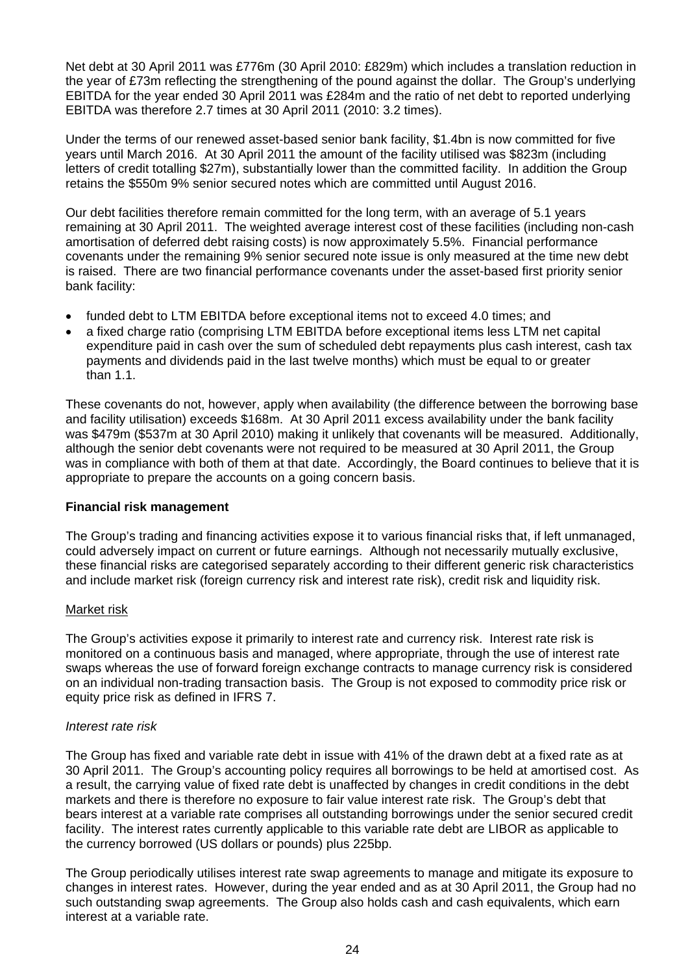Net debt at 30 April 2011 was £776m (30 April 2010: £829m) which includes a translation reduction in the year of £73m reflecting the strengthening of the pound against the dollar. The Group's underlying EBITDA for the year ended 30 April 2011 was £284m and the ratio of net debt to reported underlying EBITDA was therefore 2.7 times at 30 April 2011 (2010: 3.2 times).

Under the terms of our renewed asset-based senior bank facility, \$1.4bn is now committed for five years until March 2016. At 30 April 2011 the amount of the facility utilised was \$823m (including letters of credit totalling \$27m), substantially lower than the committed facility. In addition the Group retains the \$550m 9% senior secured notes which are committed until August 2016.

Our debt facilities therefore remain committed for the long term, with an average of 5.1 years remaining at 30 April 2011. The weighted average interest cost of these facilities (including non-cash amortisation of deferred debt raising costs) is now approximately 5.5%. Financial performance covenants under the remaining 9% senior secured note issue is only measured at the time new debt is raised. There are two financial performance covenants under the asset-based first priority senior bank facility:

- funded debt to LTM EBITDA before exceptional items not to exceed 4.0 times; and
- a fixed charge ratio (comprising LTM EBITDA before exceptional items less LTM net capital expenditure paid in cash over the sum of scheduled debt repayments plus cash interest, cash tax payments and dividends paid in the last twelve months) which must be equal to or greater than 1.1.

These covenants do not, however, apply when availability (the difference between the borrowing base and facility utilisation) exceeds \$168m. At 30 April 2011 excess availability under the bank facility was \$479m (\$537m at 30 April 2010) making it unlikely that covenants will be measured. Additionally, although the senior debt covenants were not required to be measured at 30 April 2011, the Group was in compliance with both of them at that date. Accordingly, the Board continues to believe that it is appropriate to prepare the accounts on a going concern basis.

### **Financial risk management**

The Group's trading and financing activities expose it to various financial risks that, if left unmanaged, could adversely impact on current or future earnings. Although not necessarily mutually exclusive, these financial risks are categorised separately according to their different generic risk characteristics and include market risk (foreign currency risk and interest rate risk), credit risk and liquidity risk.

### Market risk

The Group's activities expose it primarily to interest rate and currency risk. Interest rate risk is monitored on a continuous basis and managed, where appropriate, through the use of interest rate swaps whereas the use of forward foreign exchange contracts to manage currency risk is considered on an individual non-trading transaction basis. The Group is not exposed to commodity price risk or equity price risk as defined in IFRS 7.

### *Interest rate risk*

The Group has fixed and variable rate debt in issue with 41% of the drawn debt at a fixed rate as at 30 April 2011. The Group's accounting policy requires all borrowings to be held at amortised cost. As a result, the carrying value of fixed rate debt is unaffected by changes in credit conditions in the debt markets and there is therefore no exposure to fair value interest rate risk. The Group's debt that bears interest at a variable rate comprises all outstanding borrowings under the senior secured credit facility. The interest rates currently applicable to this variable rate debt are LIBOR as applicable to the currency borrowed (US dollars or pounds) plus 225bp.

The Group periodically utilises interest rate swap agreements to manage and mitigate its exposure to changes in interest rates. However, during the year ended and as at 30 April 2011, the Group had no such outstanding swap agreements. The Group also holds cash and cash equivalents, which earn interest at a variable rate.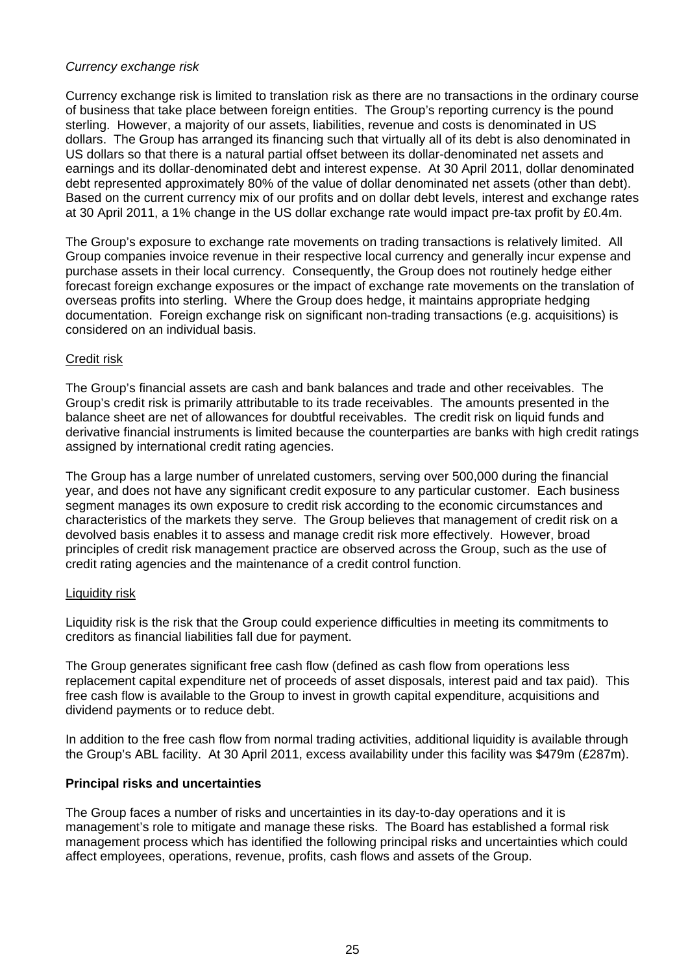### *Currency exchange risk*

Currency exchange risk is limited to translation risk as there are no transactions in the ordinary course of business that take place between foreign entities. The Group's reporting currency is the pound sterling. However, a majority of our assets, liabilities, revenue and costs is denominated in US dollars. The Group has arranged its financing such that virtually all of its debt is also denominated in US dollars so that there is a natural partial offset between its dollar-denominated net assets and earnings and its dollar-denominated debt and interest expense. At 30 April 2011, dollar denominated debt represented approximately 80% of the value of dollar denominated net assets (other than debt). Based on the current currency mix of our profits and on dollar debt levels, interest and exchange rates at 30 April 2011, a 1% change in the US dollar exchange rate would impact pre-tax profit by £0.4m.

The Group's exposure to exchange rate movements on trading transactions is relatively limited. All Group companies invoice revenue in their respective local currency and generally incur expense and purchase assets in their local currency. Consequently, the Group does not routinely hedge either forecast foreign exchange exposures or the impact of exchange rate movements on the translation of overseas profits into sterling. Where the Group does hedge, it maintains appropriate hedging documentation. Foreign exchange risk on significant non-trading transactions (e.g. acquisitions) is considered on an individual basis.

### Credit risk

The Group's financial assets are cash and bank balances and trade and other receivables. The Group's credit risk is primarily attributable to its trade receivables. The amounts presented in the balance sheet are net of allowances for doubtful receivables. The credit risk on liquid funds and derivative financial instruments is limited because the counterparties are banks with high credit ratings assigned by international credit rating agencies.

The Group has a large number of unrelated customers, serving over 500,000 during the financial year, and does not have any significant credit exposure to any particular customer. Each business segment manages its own exposure to credit risk according to the economic circumstances and characteristics of the markets they serve. The Group believes that management of credit risk on a devolved basis enables it to assess and manage credit risk more effectively. However, broad principles of credit risk management practice are observed across the Group, such as the use of credit rating agencies and the maintenance of a credit control function.

#### Liquidity risk

Liquidity risk is the risk that the Group could experience difficulties in meeting its commitments to creditors as financial liabilities fall due for payment.

The Group generates significant free cash flow (defined as cash flow from operations less replacement capital expenditure net of proceeds of asset disposals, interest paid and tax paid). This free cash flow is available to the Group to invest in growth capital expenditure, acquisitions and dividend payments or to reduce debt.

In addition to the free cash flow from normal trading activities, additional liquidity is available through the Group's ABL facility. At 30 April 2011, excess availability under this facility was \$479m (£287m).

#### **Principal risks and uncertainties**

The Group faces a number of risks and uncertainties in its day-to-day operations and it is management's role to mitigate and manage these risks. The Board has established a formal risk management process which has identified the following principal risks and uncertainties which could affect employees, operations, revenue, profits, cash flows and assets of the Group.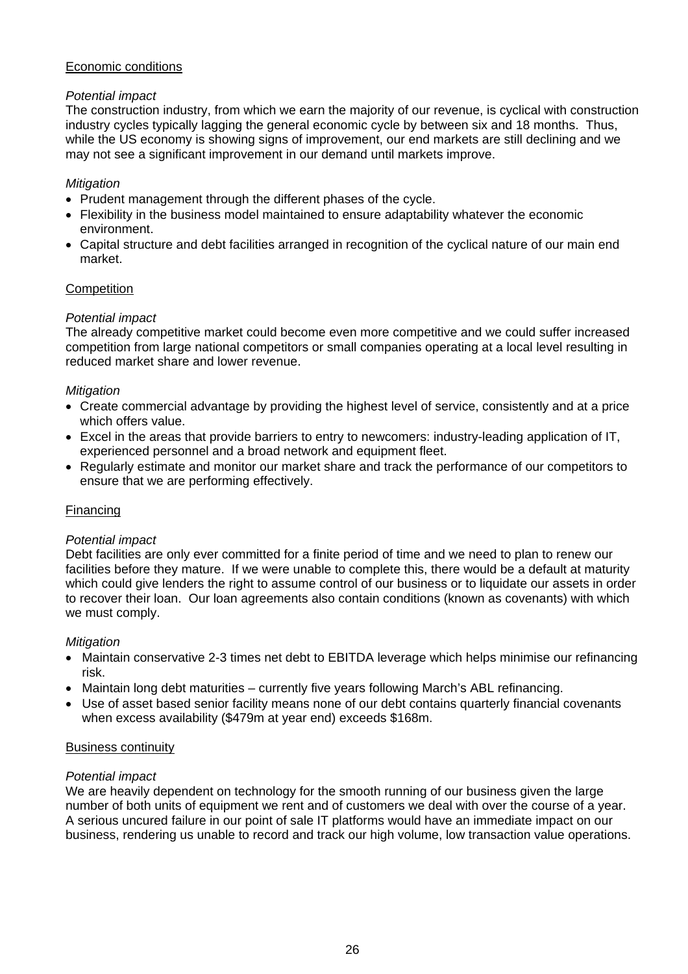# Economic conditions

# *Potential impact*

The construction industry, from which we earn the majority of our revenue, is cyclical with construction industry cycles typically lagging the general economic cycle by between six and 18 months. Thus, while the US economy is showing signs of improvement, our end markets are still declining and we may not see a significant improvement in our demand until markets improve.

### *Mitigation*

- Prudent management through the different phases of the cycle.
- Flexibility in the business model maintained to ensure adaptability whatever the economic environment.
- Capital structure and debt facilities arranged in recognition of the cyclical nature of our main end market.

# **Competition**

# *Potential impact*

The already competitive market could become even more competitive and we could suffer increased competition from large national competitors or small companies operating at a local level resulting in reduced market share and lower revenue.

# *Mitigation*

- Create commercial advantage by providing the highest level of service, consistently and at a price which offers value.
- Excel in the areas that provide barriers to entry to newcomers: industry-leading application of IT, experienced personnel and a broad network and equipment fleet.
- Regularly estimate and monitor our market share and track the performance of our competitors to ensure that we are performing effectively.

### **Financing**

### *Potential impact*

Debt facilities are only ever committed for a finite period of time and we need to plan to renew our facilities before they mature. If we were unable to complete this, there would be a default at maturity which could give lenders the right to assume control of our business or to liquidate our assets in order to recover their loan. Our loan agreements also contain conditions (known as covenants) with which we must comply.

### *Mitigation*

- Maintain conservative 2-3 times net debt to EBITDA leverage which helps minimise our refinancing risk.
- Maintain long debt maturities currently five years following March's ABL refinancing.
- Use of asset based senior facility means none of our debt contains quarterly financial covenants when excess availability (\$479m at year end) exceeds \$168m.

### Business continuity

### *Potential impact*

We are heavily dependent on technology for the smooth running of our business given the large number of both units of equipment we rent and of customers we deal with over the course of a year. A serious uncured failure in our point of sale IT platforms would have an immediate impact on our business, rendering us unable to record and track our high volume, low transaction value operations.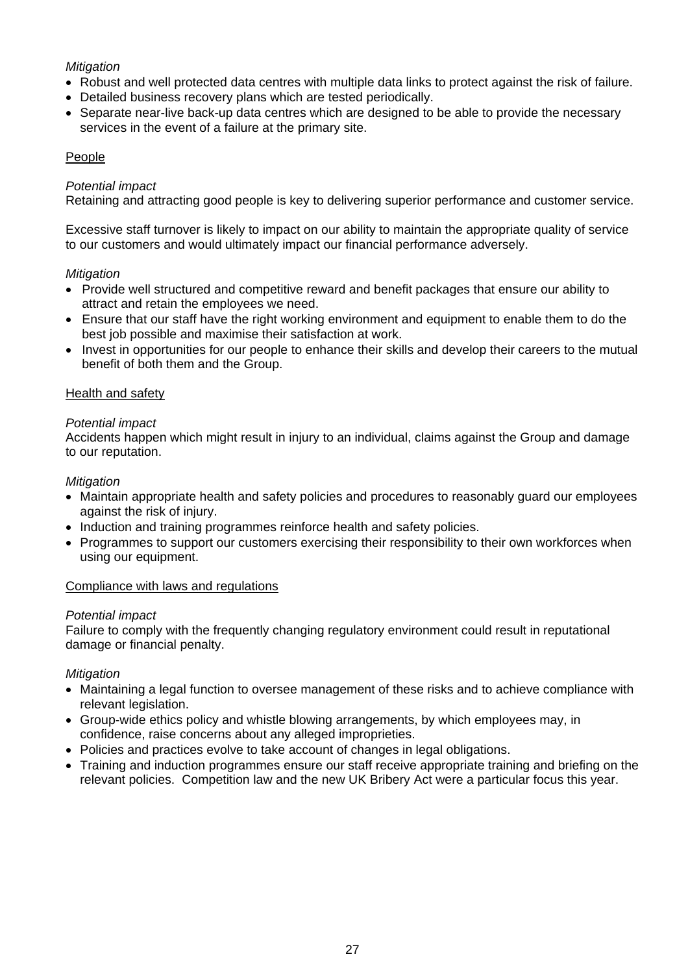# *Mitigation*

- Robust and well protected data centres with multiple data links to protect against the risk of failure.
- Detailed business recovery plans which are tested periodically.
- Separate near-live back-up data centres which are designed to be able to provide the necessary services in the event of a failure at the primary site.

# People

# *Potential impact*

Retaining and attracting good people is key to delivering superior performance and customer service.

Excessive staff turnover is likely to impact on our ability to maintain the appropriate quality of service to our customers and would ultimately impact our financial performance adversely.

# *Mitigation*

- Provide well structured and competitive reward and benefit packages that ensure our ability to attract and retain the employees we need.
- Ensure that our staff have the right working environment and equipment to enable them to do the best job possible and maximise their satisfaction at work.
- Invest in opportunities for our people to enhance their skills and develop their careers to the mutual benefit of both them and the Group.

# Health and safety

### *Potential impact*

Accidents happen which might result in injury to an individual, claims against the Group and damage to our reputation.

# *Mitigation*

- Maintain appropriate health and safety policies and procedures to reasonably guard our employees against the risk of injury.
- Induction and training programmes reinforce health and safety policies.
- Programmes to support our customers exercising their responsibility to their own workforces when using our equipment.

### Compliance with laws and regulations

### *Potential impact*

Failure to comply with the frequently changing regulatory environment could result in reputational damage or financial penalty.

# *Mitigation*

- Maintaining a legal function to oversee management of these risks and to achieve compliance with relevant legislation.
- Group-wide ethics policy and whistle blowing arrangements, by which employees may, in confidence, raise concerns about any alleged improprieties.
- Policies and practices evolve to take account of changes in legal obligations.
- Training and induction programmes ensure our staff receive appropriate training and briefing on the relevant policies. Competition law and the new UK Bribery Act were a particular focus this year.